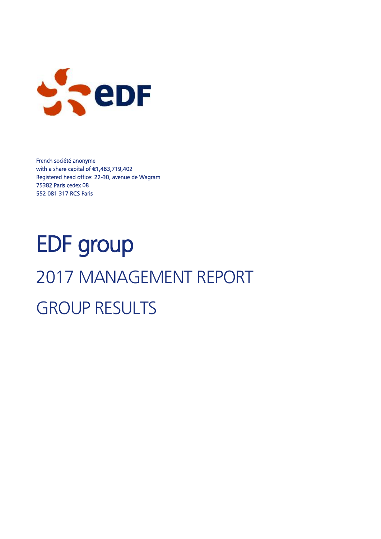

French société anonyme with a share capital of €1,463,719,402 Registered head office: 22-30, avenue de Wagram 75382 Paris cedex 08 552 081 317 RCS Paris

# EDF group 2017 MANAGEMENT REPORT GROUP RESULTS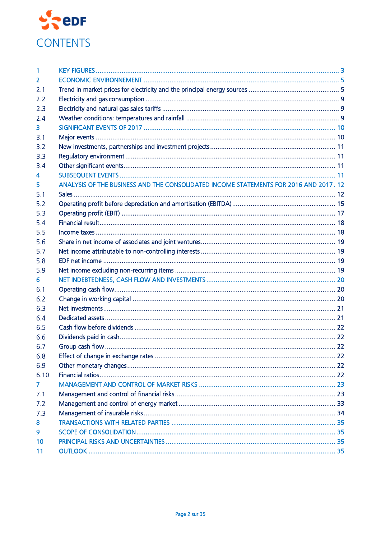

| 1    |                                                                                       |  |
|------|---------------------------------------------------------------------------------------|--|
| 2    |                                                                                       |  |
| 2.1  |                                                                                       |  |
| 2.2  |                                                                                       |  |
| 2.3  |                                                                                       |  |
| 2.4  |                                                                                       |  |
| 3    |                                                                                       |  |
| 3.1  |                                                                                       |  |
| 3.2  |                                                                                       |  |
| 3.3  |                                                                                       |  |
| 3.4  |                                                                                       |  |
| 4    |                                                                                       |  |
| 5    | ANALYSIS OF THE BUSINESS AND THE CONSOLIDATED INCOME STATEMENTS FOR 2016 AND 2017. 12 |  |
| 5.1  |                                                                                       |  |
| 5.2  |                                                                                       |  |
| 5.3  |                                                                                       |  |
| 5.4  |                                                                                       |  |
| 5.5  |                                                                                       |  |
| 5.6  |                                                                                       |  |
| 5.7  |                                                                                       |  |
| 5.8  |                                                                                       |  |
| 5.9  |                                                                                       |  |
| 6.   |                                                                                       |  |
| 6.1  |                                                                                       |  |
| 6.2  |                                                                                       |  |
| 6.3  |                                                                                       |  |
| 6.4  |                                                                                       |  |
| 6.5  |                                                                                       |  |
| 6.6  |                                                                                       |  |
| 6.7  |                                                                                       |  |
| 6.8  |                                                                                       |  |
| 6.9  |                                                                                       |  |
| 6.10 |                                                                                       |  |
| 7    |                                                                                       |  |
| 7.1  |                                                                                       |  |
| 7.2  |                                                                                       |  |
| 7.3  |                                                                                       |  |
| 8    |                                                                                       |  |
| 9    |                                                                                       |  |
| 10   |                                                                                       |  |
| 11   |                                                                                       |  |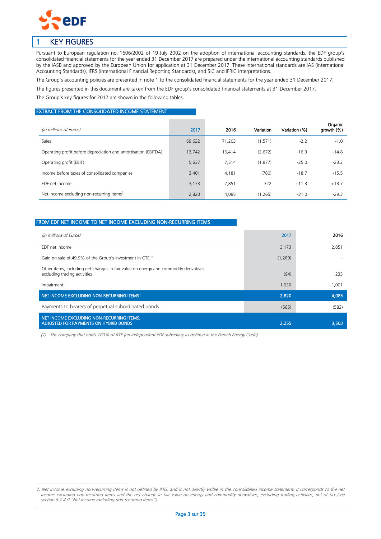

-

# <span id="page-2-0"></span>1 KEY FIGURES

Pursuant to European regulation no. 1606/2002 of 19 July 2002 on the adoption of international accounting standards, the EDF group's consolidated financial statements for the year ended 31 December 2017 are prepared under the international accounting standards published by the IASB and approved by the European Union for application at 31 December 2017. These international standards are IAS (International Accounting Standards), IFRS (International Financial Reporting Standards), and SIC and IFRIC interpretations.

The Group's accounting policies are presented in note 1 to the consolidated financial statements for the year ended 31 December 2017.

The figures presented in this document are taken from the EDF group's consolidated financial statements at 31 December 2017.

The Group's key figures for 2017 are shown in the following tables.

#### EXTRACT FROM THE CONSOLIDATED INCOME STATEMENT

| (in millions of Euros)                                         | 2017   | 2016   | Variation | Variation (%) | Organic<br>arowth (%) |
|----------------------------------------------------------------|--------|--------|-----------|---------------|-----------------------|
| <b>Sales</b>                                                   | 69,632 | 71,203 | (1,571)   | $-2.2$        | $-1.0$                |
| Operating profit before depreciation and amortisation (EBITDA) | 13,742 | 16,414 | (2,672)   | $-16.3$       | $-14.8$               |
| Operating profit (EBIT)                                        | 5,637  | 7,514  | (1, 877)  | $-25.0$       | $-23.2$               |
| Income before taxes of consolidated companies                  | 3,401  | 4,181  | (780)     | $-18.7$       | $-15.5$               |
| EDF net income                                                 | 3,173  | 2,851  | 322       | $+11.3$       | $+13.7$               |
| Net income excluding non-recurring items <sup>1</sup>          | 2,820  | 4,085  | (1,265)   | $-31.0$       | $-29.3$               |

### FROM EDF NET INCOME TO NET INCOME EXCLUDING NON-RECURRING ITEMS

| (in millions of Euros)                                                                                                | 2017    | 2016  |
|-----------------------------------------------------------------------------------------------------------------------|---------|-------|
| EDF net income                                                                                                        | 3,173   | 2,851 |
| Gain on sale of 49.9% of the Group's investment in CTE <sup>(1)</sup>                                                 | (1,289) |       |
| Other items, including net changes in fair value on energy and commodity derivatives,<br>excluding trading activities | (94)    | 233   |
| Impairment                                                                                                            | 1,030   | 1,001 |
| NET INCOME EXCLUDING NON-RECURRING ITEMS <sup>1</sup>                                                                 | 2,820   | 4,085 |
| Payments to bearers of perpetual subordinated bonds                                                                   | (565)   | (582) |
| NET INCOME EXCLUDING NON-RECURRING ITEMS,<br>ADJUSTED FOR PAYMENTS ON HYBRID BONDS                                    | 2,255   | 3,503 |

(1) The company that holds 100% of RTE (an independent EDF subsidiary as defined in the French Energy Code).

<sup>1.</sup> Net income excluding non-recurring items is not defined by IFRS, and is not directly visible in the consolidated income statement. It corresponds to the net income excluding non-recurring items and the net change in fair value on energy and commodity derivatives, excluding trading activities, net of tax (see section 5.1.4.9 "Net income excluding non-recurring items").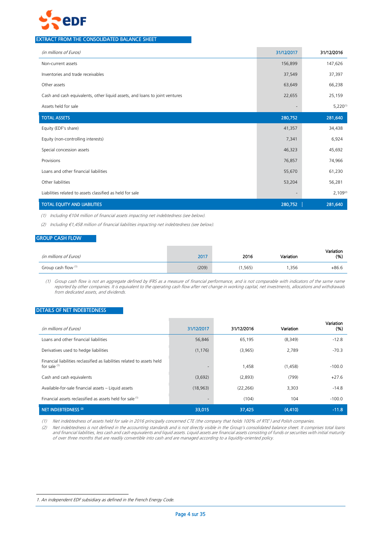

### EXTRACT FROM THE CONSOLIDATED BALANCE SHEET

| (in millions of Euros)                                                      | 31/12/2017               | 31/12/2016    |
|-----------------------------------------------------------------------------|--------------------------|---------------|
| Non-current assets                                                          | 156,899                  | 147,626       |
| Inventories and trade receivables                                           | 37,549                   | 37,397        |
| Other assets                                                                | 63,649                   | 66,238        |
| Cash and cash equivalents, other liquid assets, and loans to joint ventures | 22,655                   | 25,159        |
| Assets held for sale                                                        |                          | $5,220^{(1)}$ |
| <b>TOTAL ASSETS</b>                                                         | 280,752                  | 281,640       |
| Equity (EDF's share)                                                        | 41,357                   | 34,438        |
| Equity (non-controlling interests)                                          | 7,341                    | 6,924         |
| Special concession assets                                                   | 46,323                   | 45,692        |
| Provisions                                                                  | 76,857                   | 74,966        |
| Loans and other financial liabilities                                       | 55,670                   | 61,230        |
| Other liabilities                                                           | 53,204                   | 56,281        |
| Liabilities related to assets classified as held for sale                   | $\overline{\phantom{a}}$ | $2,109^{(2)}$ |
| <b>TOTAL EQUITY AND LIABILITIES</b>                                         | 280,752                  | 281,640       |

(1) Including €104 million of financial assets impacting net indebtedness (see below).

(2) Including €1,458 million of financial liabilities impacting net indebtedness (see below).

#### GROUP CASH FLOW

| (in millions of Euros) | 2017  | 2016    | Variation | Variation<br>(% ) |
|------------------------|-------|---------|-----------|-------------------|
| Group cash flow (1)    | (209) | (1.565) | .356      | $+86.6$           |

(1) Group cash flow is not an aggregate defined by IFRS as a measure of financial performance, and is not comparable with indicators of the same name reported by other companies. It is equivalent to the operating cash flow after net change in working capital, net investments, allocations and withdrawals from dedicated assets, and dividends.

### DETAILS OF NET INDEBTEDNESS

| (in millions of Euros)                                                                     | 31/12/2017               | 31/12/2016 | Variation | Variation<br>(% ) |
|--------------------------------------------------------------------------------------------|--------------------------|------------|-----------|-------------------|
| Loans and other financial liabilities                                                      | 56,846                   | 65,195     | (8,349)   | $-12.8$           |
| Derivatives used to hedge liabilities                                                      | (1, 176)                 | (3,965)    | 2,789     | $-70.3$           |
| Financial liabilities reclassified as liabilities related to assets held<br>for sale $(1)$ | $\overline{\phantom{a}}$ | 1,458      | (1,458)   | $-100.0$          |
| Cash and cash equivalents                                                                  | (3,692)                  | (2,893)    | (799)     | $+27.6$           |
| Available-for-sale financial assets - Liquid assets                                        | (18, 963)                | (22, 266)  | 3,303     | $-14.8$           |
| Financial assets reclassified as assets held for sale <sup>(1)</sup>                       | $\overline{\phantom{a}}$ | (104)      | 104       | $-100.0$          |
| NET INDEBTEDNESS <sup>(2)</sup>                                                            | 33,015                   | 37,425     | (4, 410)  | $-11.8$           |

(1) Net indebtedness of assets held for sale in 2016 principally concerned CTE (the company that holds 100% of RTE 1 ) and Polish companies.

(2) Net indebtedness is not defined in the accounting standards and is not directly visible in the Group's consolidated balance sheet. It comprises total loans and financial liabilities, less cash and cash equivalents and liquid assets. Liquid assets are financial assets consisting of funds or securities with initial maturity of over three months that are readily convertible into cash and are managed according to a liquidity-oriented policy.

-

<sup>1.</sup> An independent EDF subsidiary as defined in the French Energy Code.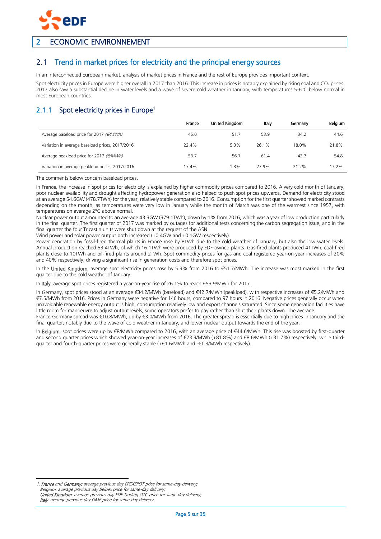

# <span id="page-4-0"></span>2 ECONOMIC ENVIRONNEMENT

#### <span id="page-4-1"></span>Trend in market prices for electricity and the principal energy sources  $2.1$

In an interconnected European market, analysis of market prices in France and the rest of Europe provides important context.

Spot electricity prices in Europe were higher overall in 2017 than 2016. This increase in prices is notably explained by rising coal and CO<sub>2</sub> prices. 2017 also saw a substantial decline in water levels and a wave of severe cold weather in January, with temperatures 5-6°C below normal in most European countries.

# 2.1.1 Spot electricity prices in Europe<sup>1</sup>

|                                                    | France | United Kingdom | Italy | Germany | Belgium  |
|----------------------------------------------------|--------|----------------|-------|---------|----------|
| Average baseload price for 2017 ( $\epsilon/MWh$ ) | 45.0   | 51.7           | 53.9  | 34.2    | 44.6     |
| Variation in average baseload prices, 2017/2016    | 22.4%  | 5.3%           | 26.1% | 18.0%   | 21.8%    |
| Average peakload price for 2017 ( $\epsilon/MWh$ ) | 53.7   | 56.7           | 61.4  | 42.7    | 54.8     |
| Variation in average peakload prices, 2017/2016    | 17.4%  | $-1.3%$        | 27.9% | 21.2%   | $17.2\%$ |

The comments below concern baseload prices.

In France, the increase in spot prices for electricity is explained by higher commodity prices compared to 2016. A very cold month of January, poor nuclear availability and drought affecting hydropower generation also helped to push spot prices upwards. Demand for electricity stood at an average 54.6GW (478.7TWh) for the year, relatively stable compared to 2016. Consumption for the first quarter showed marked contrasts depending on the month, as temperatures were very low in January while the month of March was one of the warmest since 1957, with temperatures on average 2°C above normal.

Nuclear power output amounted to an average 43.3GW (379.1TWh), down by 1% from 2016, which was a year of low production particularly in the final quarter. The first quarter of 2017 was marked by outages for additional tests concerning the carbon segregation issue, and in the final quarter the four Tricastin units were shut down at the request of the ASN.

Wind power and solar power output both increased (+0.4GW and +0.1GW respectively).

Power generation by fossil-fired thermal plants in France rose by 8TWh due to the cold weather of January, but also the low water levels. Annual production reached 53.4TWh, of which 16.1TWh were produced by EDF-owned plants. Gas-fired plants produced 41TWh, coal-fired plants close to 10TWh and oil-fired plants around 2TWh. Spot commodity prices for gas and coal registered year-on-year increases of 20% and 40% respectively, driving a significant rise in generation costs and therefore spot prices.

In the United Kingdom, average spot electricity prices rose by 5.3% from 2016 to €51.7/MWh. The increase was most marked in the first quarter due to the cold weather of January.

In Italy, average spot prices registered a year-on-year rise of 26.1% to reach €53.9/MWh for 2017.

In Germany, spot prices stood at an average €34.2/MWh (baseload) and €42.7/MWh (peakload), with respective increases of €5.2/MWh and €7.5/MWh from 2016. Prices in Germany were negative for 146 hours, compared to 97 hours in 2016. Negative prices generally occur when unavoidable renewable energy output is high, consumption relatively low and export channels saturated. Since some generation facilities have little room for manoeuvre to adjust output levels, some operators prefer to pay rather than shut their plants down. The average

France-Germany spread was €10.8/MWh, up by €3.0/MWh from 2016. The greater spread is essentially due to high prices in January and the final quarter, notably due to the wave of cold weather in January, and lower nuclear output towards the end of the year.

In Belgium, spot prices were up by €8/MWh compared to 2016, with an average price of €44.6/MWh. This rise was boosted by first-quarter and second quarter prices which showed year-on-year increases of €23.3/MWh (+81.8%) and €8.6/MWh (+31.7%) respectively, while thirdquarter and fourth-quarter prices were generally stable (+€1.6/MWh and -€1.3/MWh respectively).

<sup>-</sup>1. France and Germany: average previous day EPEXSPOT price for same-day delivery; Belgium: average previous day Belpex price for same-day delivery; United Kingdom: average previous day EDF Trading OTC price for same-day delivery; Italy: average previous day GME price for same-day delivery.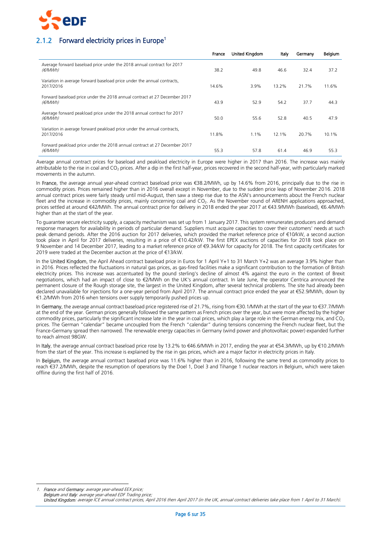

# 2.1.2 Forward electricity prices in Europe<sup>1</sup>

|                                                                                      | France | United Kingdom | Italy | Germany | Belgium |
|--------------------------------------------------------------------------------------|--------|----------------|-------|---------|---------|
| Average forward baseload price under the 2018 annual contract for 2017<br>(€/MWh)    | 38.2   | 49.8           | 46.6  | 32.4    | 37.2    |
| Variation in average forward baseload price under the annual contracts,<br>2017/2016 | 14.6%  | 3.9%           | 13.2% | 21.7%   | 11.6%   |
| Forward baseload price under the 2018 annual contract at 27 December 2017<br>(€/MWh) | 43.9   | 52.9           | 54.2  | 37.7    | 44.3    |
| Average forward peakload price under the 2018 annual contract for 2017<br>(€/MWh)    | 50.0   | 55.6           | 52.8  | 40.5    | 47.9    |
| Variation in average forward peakload price under the annual contracts,<br>2017/2016 | 11.8%  | $1.1\%$        | 12.1% | 20.7%   | 10.1%   |
| Forward peakload price under the 2018 annual contract at 27 December 2017<br>(€/MWh) | 55.3   | 57.8           | 61.4  | 46.9    | 55.3    |

Average annual contract prices for baseload and peakload electricity in Europe were higher in 2017 than 2016. The increase was mainly attributable to the rise in coal and CO<sub>2</sub> prices. After a dip in the first half-year, prices recovered in the second half-year, with particularly marked movements in the autumn.

In France, the average annual year-ahead contract baseload price was €38.2/MWh, up by 14.6% from 2016, principally due to the rise in commodity prices. Prices remained higher than in 2016 overall except in November, due to the sudden price leap of November 2016. 2018 annual contract prices were fairly steady until mid-August, then saw a steep rise due to the ASN's announcements about the French nuclear fleet and the increase in commodity prices, mainly concerning coal and CO<sub>2</sub>. As the November round of ARENH applications approached, prices settled at around €42/MWh. The annual contract price for delivery in 2018 ended the year 2017 at €43.9/MWh (baseload), €6.4/MWh higher than at the start of the year.

To guarantee secure electricity supply, a capacity mechanism was set up from 1 January 2017. This system remunerates producers and demand response managers for availability in periods of particular demand. Suppliers must acquire capacities to cover their customers' needs at such peak demand periods. After the 2016 auction for 2017 deliveries, which provided the market reference price of €10/kW, a second auction took place in April for 2017 deliveries, resulting in a price of €10.42/kW. The first EPEX auctions of capacities for 2018 took place on 9 November and 14 December 2017, leading to a market reference price of €9.34/kW for capacity for 2018. The first capacity certificates for 2019 were traded at the December auction at the price of €13/kW.

In the United Kingdom, the April Ahead contract baseload price in Euros for 1 April Y+1 to 31 March Y+2 was an average 3.9% higher than in 2016. Prices reflected the fluctuations in natural gas prices, as gas-fired facilities make a significant contribution to the formation of British electricity prices. This increase was accentuated by the pound sterling's decline of almost 4% against the euro in the context of Brexit negotiations, which had an impact of close to €2/MWh on the UK's annual contract. In late June, the operator Centrica announced the permanent closure of the Rough storage site, the largest in the United Kingdom, after several technical problems. The site had already been declared unavailable for injections for a one-year period from April 2017. The annual contract price ended the year at €52.9/MWh, down by €1.2/MWh from 2016 when tensions over supply temporarily pushed prices up.

In Germany, the average annual contract baseload price registered rise of 21.7%, rising from €30.1/MWh at the start of the year to €37.7/MWh at the end of the year. German prices generally followed the same pattern as French prices over the year, but were more affected by the higher commodity prices, particularly the significant increase late in the year in coal prices, which play a large role in the German energy mix, and  $CO<sub>2</sub>$ prices. The German "calendar" became uncoupled from the French "calendar" during tensions concerning the French nuclear fleet, but the France-Germany spread then narrowed. The renewable energy capacities in Germany (wind power and photovoltaic power) expanded further to reach almost 98GW.

In Italy, the average annual contract baseload price rose by 13.2% to €46.6/MWh in 2017, ending the year at €54.3/MWh, up by €10.2/MWh from the start of the year. This increase is explained by the rise in gas prices, which are a major factor in electricity prices in Italy.

In Belgium, the average annual contract baseload price was 11.6% higher than in 2016, following the same trend as commodity prices to reach €37.2/MWh, despite the resumption of operations by the Doel 1, Doel 3 and Tihange 1 nuclear reactors in Belgium, which were taken offline during the first half of 2016.

-1. France and Germany: average year-ahead EEX price; Belaium and Italy: average year-ahead EDF Trading price;

United Kingdom: average ICE annual contract prices, April 2016 then April 2017 (in the UK, annual contract deliveries take place from 1 April to 31 March).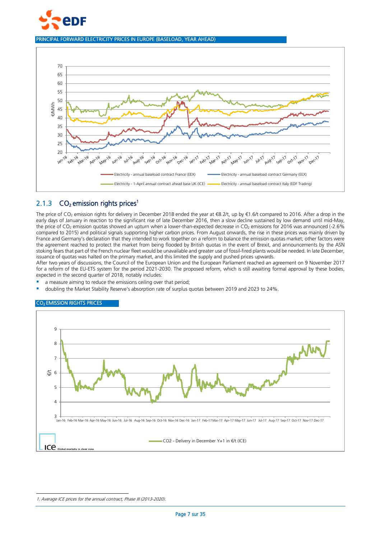

PRINCIPAL FORWARD ELECTRICITY PRICES IN EUROPE (BASELOAD, YEAR AHEAD)



# 2.1.3  $CO<sub>2</sub>$  emission rights prices<sup>1</sup>

The price of CO<sub>2</sub> emission rights for delivery in December 2018 ended the year at €8.2/t, up by €1.6/t compared to 2016. After a drop in the early days of January in reaction to the significant rise of late December 2016, then a slow decline sustained by low demand until mid-May, the price of  $CO<sub>2</sub>$  emission quotas showed an upturn when a lower-than-expected decrease in  $CO<sub>2</sub>$  emissions for 2016 was announced (-2.6%) compared to 2015) and political signals supporting higher carbon prices. From August onwards, the rise in these prices was mainly driven by France and Germany's declaration that they intended to work together on a reform to balance the emission quotas market; other factors were the agreement reached to protect the market from being flooded by British quotas in the event of Brexit, and announcements by the ASN stoking fears that part of the French nuclear fleet would be unavailable and greater use of fossil-fired plants would be needed. In late December, issuance of quotas was halted on the primary market, and this limited the supply and pushed prices upwards.

After two years of discussions, the Council of the European Union and the European Parliament reached an agreement on 9 November 2017 for a reform of the EU-ETS system for the period 2021-2030. The proposed reform, which is still awaiting formal approval by these bodies, expected in the second quarter of 2018, notably includes:

- a measure aiming to reduce the emissions ceiling over that period;
- doubling the Market Stability Reserve's absorption rate of surplus quotas between 2019 and 2023 to 24%.

#### CO2 EMISSION RIGHTS PRICES



1

<sup>1.</sup> Average ICE prices for the annual contract, Phase III (2013-2020).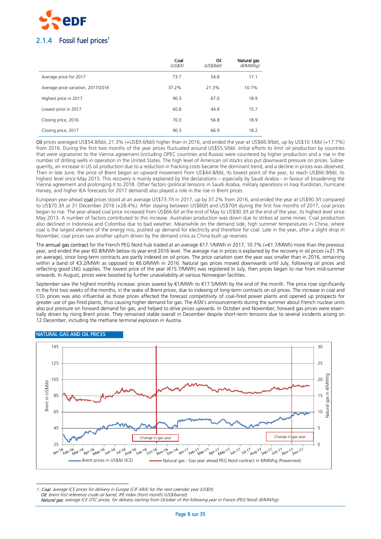

|                                    | Coal<br>(US\$/t) | Oil<br>(US\$/bbl) | Natural gas<br>(E/MWhq) |
|------------------------------------|------------------|-------------------|-------------------------|
| Average price for 2017             | 73.7             | 54.8              | 17.1                    |
| Average price variation, 2017/2016 | 37.2%            | 21.3%             | 10.7%                   |
| Highest price in 2017              | 90.3             | 67.0              | 18.9                    |
| Lowest price in 2017               | 60.8             | 44.8              | 15.7                    |
| Closing price, 2016                | 70.3             | 56.8              | 18.9                    |
| Closing price, 2017                | 90.3             | 66.9              | 18.2                    |

Oil prices averaged US\$54.8/bbl, 21.3% (+US\$9.6/bbl) higher than in 2016, and ended the year at US\$66.9/bbl, up by US\$10.1/bbl (+17.7%) from 2016. During the first two months of the year prices fluctuated around US\$55.5/bbl. Initial efforts to limit oil production by countries that were signatories to the Vienna agreement (including OPEC countries and Russia) were countered by higher production and a rise in the number of drilling wells in operation in the United States. The high level of American oil stocks also put downward pressure on prices. Subsequently, an increase in US oil production due to a reduction in fracking costs became the dominant trend, and a decline in prices was observed. Then in late June, the price of Brent began an upward movement from US\$44.8/bbl, its lowest point of the year, to reach US\$66.9/bbl, its highest level since May 2015. This recovery is mainly explained by the declarations – especially by Saudi Arabia - in favour of broadening the Vienna agreement and prolonging it to 2018. Other factors (political tensions in Saudi Arabia, military operations in Iraqi Kurdistan, hurricane Harvey, and higher IEA forecasts for 2017 demand) also played a role in the rise in Brent prices.

European year-ahead coal prices stood at an average US\$73.7/t in 2017, up by 37.2% from 2016, and ended the year at US\$90.3/t compared to US\$70.3/t at 31 December 2016 (+28.4%). After staying between US\$60/t and US\$70/t during the first five months of 2017, coal prices began to rise. The year-ahead coal price increased from US\$66.6/t at the end of May to US\$90.3/t at the end of the year, its highest level since May 2013. A number of factors contributed to this increase. Australian production was down due to strikes at some mines. Coal production also declined in Indonesia and Colombia due to bad weather. Meanwhile on the demand side, high summer temperatures in China, where coal is the largest element of the energy mix, pushed up demand for electricity and therefore for coal. Late in the year, after a slight drop in November, coal prices saw another upturn driven by the demand crisis as China built up reserves.

The annual gas contract for the French PEG Nord hub traded at an average €17.1/MWh in 2017, 10.7% (+€1.7/MWh) more than the previous year, and ended the year €0.8/MWh below its year-end 2016 level. The average rise in prices is explained by the recovery in oil prices (+21.3% on average), since long-term contracts are partly indexed on oil prices. The price variation over the year was smaller than in 2016, remaining within a band of €3.2/MWh as opposed to €6.0/MWh in 2016. Natural gas prices moved downwards until July, following oil prices and reflecting good LNG supplies. The lowest price of the year (€15.7/MWh) was registered In July, then prices began to rise from mid-summer onwards. In August, prices were boosted by further unavailability at various Norwegian facilities.

September saw the highest monthly increase: prices soared by €1/MWh to €17.5/MWh by the end of the month. The price rose significantly in the first two weeks of the months, in the wake of Brent prices, due to indexing of long-term contracts on oil prices. The increase in coal and CO<sub>2</sub> prices was also influential as those prices affected the forecast competitivity of coal-fired power plants and opened up prospects for greater use of gas-fired plants, thus causing higher demand for gas. The ASN's announcements during the summer about French nuclear units also put pressure on forward demand for gas, and helped to drive prices upwards. In October and November, forward gas prices were essentially driven by rising Brent prices. They remained stable overall in December despite short-term tensions due to several incidents arising on 12 December, including the methane terminal explosion in Austria.



#### NATURAL GAS AND OIL PRICES

-1. Coal: average ICE prices for delivery in Europe (CIF ARA) for the next calendar year (US\$/t); Oil: brent first reference crude oil barrel, IPE index (front month) (US\$/barrel); Natural gas: average ICE OTC prices, for delivery starting from October of the following year in France (PEG Nord) (€/MWhg).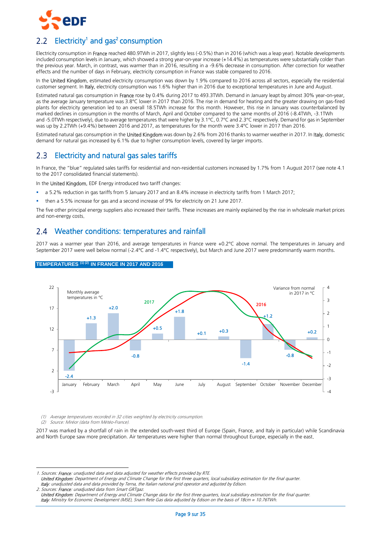

# <span id="page-8-0"></span>Electricity<sup>1</sup> and gas<sup>2</sup> consumption

Electricity consumption in France reached 480.9TWh in 2017, slightly less (-0.5%) than in 2016 (which was a leap year). Notable developments included consumption levels in January, which showed a strong year-on-year increase (+14.4%) as temperatures were substantially colder than the previous year. March, in contrast, was warmer than in 2016, resulting in a -9.6% decrease in consumption. After correction for weather effects and the number of days in February, electricity consumption in France was stable compared to 2016.

In the United Kingdom, estimated electricity consumption was down by 1.9% compared to 2016 across all sectors, especially the residential customer segment. In Italy, electricity consumption was 1.6% higher than in 2016 due to exceptional temperatures in June and August.

Estimated natural gas consumption in France rose by 0.4% during 2017 to 493.3TWh. Demand in January leapt by almost 30% year-on-year, as the average January temperature was 3.8°C lower in 2017 than 2016. The rise in demand for heating and the greater drawing on gas-fired plants for electricity generation led to an overall 18.5TWh increase for this month. However, this rise in January was counterbalanced by marked declines in consumption in the months of March, April and October compared to the same months of 2016 (-8.4TWh, -3.1TWh and -5.0TWh respectively), due to average temperatures that were higher by 3.1°C, 0.7°C and 2.3°C respectively. Demand for gas in September was up by 2.2TWh (+9.4%) between 2016 and 2017, as temperatures for the month were 3.4°C lower in 2017 than 2016.

Estimated natural gas consumption in the United Kingdom was down by 2.6% from 2016 thanks to warmer weather in 2017. In Italy, domestic demand for natural gas increased by 6.1% due to higher consumption levels, covered by larger imports.

# <span id="page-8-1"></span>2.3 Electricity and natural gas sales tariffs

In France, the "blue" regulated sales tariffs for residential and non-residential customers increased by 1.7% from 1 August 2017 (see note 4.1 to the 2017 consolidated financial statements).

In the United Kingdom, EDF Energy introduced two tariff changes:

- a 5.2% reduction in gas tariffs from 5 January 2017 and an 8.4% increase in electricity tariffs from 1 March 2017;
- then a 5.5% increase for gas and a second increase of 9% for electricity on 21 June 2017.

The five other principal energy suppliers also increased their tariffs. These increases are mainly explained by the rise in wholesale market prices and non-energy costs.

#### <span id="page-8-2"></span>Weather conditions: temperatures and rainfall  $2.4$

2017 was a warmer year than 2016, and average temperatures in France were +0.2°C above normal. The temperatures in January and September 2017 were well below normal (-2.4°C and -1.4°C respectively), but March and June 2017 were predominantly warm months.



#### **TEMPERATURES (1) (2) IN FRANCE IN 2017 AND 2016**

(1) Average temperatures recorded in 32 cities weighted by electricity consumption.

(2) Source: Miréor (data from Météo-France).

-

2017 was marked by a shortfall of rain in the extended south-west third of Europe (Spain, France, and Italy in particular) while Scandinavia and North Europe saw more precipitation. Air temperatures were higher than normal throughout Europe, especially in the east.

1. Sources: France: unadjusted data and data adjusted for weather effects provided by RTE.

United Kingdom: Department of Energy and Climate Change for the first three quarters, local subsidiary estimation for the final quarter. Italy: unadjusted data and data provided by Terna, the Italian national grid operator and adjusted by Edison.

2. Sources: France: unadjusted data from Smart GRTgaz. United Kingdom: Department of Energy and Climate Change data for the first three quarters, local subsidiary estimation for the final quarter. Italy: Ministry for Economic Development (MSE), Snam Rete Gas data adjusted by Edison on the basis of 1Bcm = 10.76TWh.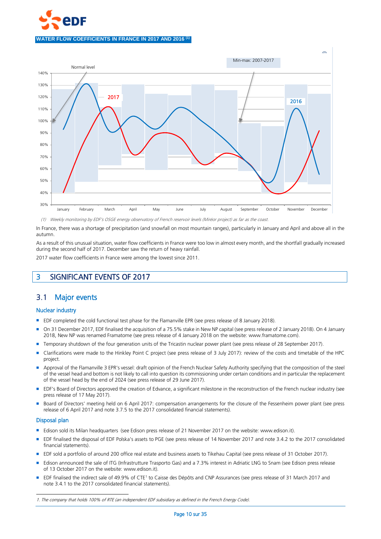



(1) Weekly monitoring by EDF's OSGE energy observatory of French reservoir levels (Miréor project) as far as the coast.

In France, there was a shortage of precipitation (and snowfall on most mountain ranges), particularly in January and April and above all in the autumn.

As a result of this unusual situation, water flow coefficients in France were too low in almost every month, and the shortfall gradually increased during the second half of 2017. December saw the return of heavy rainfall.

2017 water flow coefficients in France were among the lowest since 2011.

# <span id="page-9-0"></span>3 SIGNIFICANT EVENTS OF 2017

# <span id="page-9-1"></span>3.1 Major events

### Nuclear industry

- EDF completed the cold functional test phase for the Flamanville EPR (see press release of 8 January 2018).
- On 31 December 2017, EDF finalised the acquisition of a 75.5% stake in New NP capital (see press release of 2 January 2018). On 4 January 2018, New NP was renamed Framatome (see press release of 4 January 2018 on the website: www.framatome.com).
- Temporary shutdown of the four generation units of the Tricastin nuclear power plant (see press release of 28 September 2017).
- Clarifications were made to the Hinkley Point C project (see press release of 3 July 2017): review of the costs and timetable of the HPC project.
- Approval of the Flamanville 3 EPR's vessel: draft opinion of the French Nuclear Safety Authority specifying that the composition of the steel of the vessel head and bottom is not likely to call into question its commissioning under certain conditions and in particular the replacement of the vessel head by the end of 2024 (see press release of 29 June 2017).
- **EDF's Board of Directors approved the creation of Edvance, a significant milestone in the reconstruction of the French nuclear industry (see** press release of 17 May 2017).
- Board of Directors' meeting held on 6 April 2017: compensation arrangements for the closure of the Fessenheim power plant (see press release of 6 April 2017 and note 3.7.5 to the 2017 consolidated financial statements).

#### Disposal plan

-

- Edison sold its Milan headquarters (see Edison press release of 21 November 2017 on the website: www.edison.it).
- EDF finalised the disposal of EDF Polska's assets to PGE (see press release of 14 November 2017 and note 3.4.2 to the 2017 consolidated financial statements).
- EDF sold a portfolio of around 200 office real estate and business assets to Tikehau Capital (see press release of 31 October 2017).
- Edison announced the sale of ITG (Infrastrutture Trasporto Gas) and a 7.3% interest in Adriatic LNG to Snam (see Edison press release of 13 October 2017 on the website: www.edison.it).
- EDF finalised the indirect sale of 49.9% of CTE<sup>1</sup> to Caisse des Dépôts and CNP Assurances (see press release of 31 March 2017 and note 3.4.1 to the 2017 consolidated financial statements).

<sup>1.</sup> The company that holds 100% of RTE (an independent EDF subsidiary as defined in the French Energy Code).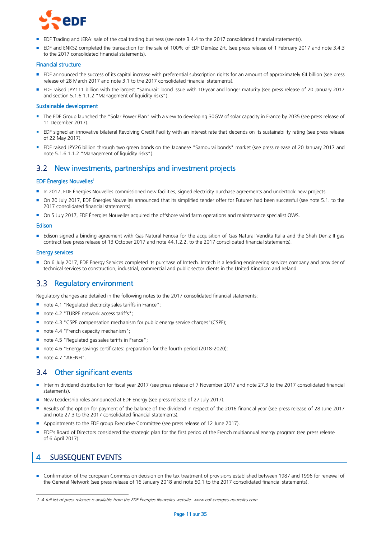

- EDF Trading and JERA: sale of the coal trading business (see note 3.4.4 to the 2017 consolidated financial statements).
- EDF and ENKSZ completed the transaction for the sale of 100% of EDF Démász Zrt. (see press release of 1 February 2017 and note 3.4.3 to the 2017 consolidated financial statements).

#### Financial structure

- EDF announced the success of its capital increase with preferential subscription rights for an amount of approximately €4 billion (see press release of 28 March 2017 and note 3.1 to the 2017 consolidated financial statements).
- EDF raised JPY111 billion with the largest "Samurai" bond issue with 10-year and longer maturity (see press release of 20 January 2017 and section 5.1.6.1.1.2 "Management of liquidity risks").

#### Sustainable development

- The EDF Group launched the "Solar Power Plan" with a view to developing 30GW of solar capacity in France by 2035 (see press release of 11 December 2017).
- **EDF** signed an innovative bilateral Revolving Credit Facility with an interest rate that depends on its sustainability rating (see press release of 22 May 2017).
- EDF raised JPY26 billion through two green bonds on the Japanese "Samourai bonds" market (see press release of 20 January 2017 and note 5.1.6.1.1.2 "Management of liquidity risks").

#### <span id="page-10-0"></span> $3.2^{\circ}$ New investments, partnerships and investment projects

#### EDF Énergies Nouvelles<sup>1</sup>

- In 2017, EDF Énergies Nouvelles commissioned new facilities, signed electricity purchase agreements and undertook new projects.
- On 20 July 2017, EDF Énergies Nouvelles announced that its simplified tender offer for Futuren had been successful (see note 5.1. to the 2017 consolidated financial statements).
- On 5 July 2017, EDF Énergies Nouvelles acquired the offshore wind farm operations and maintenance specialist OWS.

#### Edison

 Edison signed a binding agreement with Gas Natural Fenosa for the acquisition of Gas Natural Vendita Italia and the Shah Deniz II gas contract (see press release of 13 October 2017 and note 44.1.2.2. to the 2017 consolidated financial statements).

#### Energy services

 On 6 July 2017, EDF Energy Services completed its purchase of Imtech. Imtech is a leading engineering services company and provider of technical services to construction, industrial, commercial and public sector clients in the United Kingdom and Ireland.

#### <span id="page-10-1"></span> $3.3$ Regulatory environment

Regulatory changes are detailed in the following notes to the 2017 consolidated financial statements:

- note 4.1 "Regulated electricity sales tariffs in France";
- note 4.2 "TURPE network access tariffs";
- note 4.3 "CSPE compensation mechanism for public energy service charges" (CSPE);
- note 4.4 "French capacity mechanism";
- note 4.5 "Regulated gas sales tariffs in France";
- note 4.6 "Energy savings certificates: preparation for the fourth period (2018-2020):
- note 4.7 "ARENH".

#### <span id="page-10-2"></span> $3.4$ Other significant events

- Interim dividend distribution for fiscal year 2017 (see press release of 7 November 2017 and note 27.3 to the 2017 consolidated financial statements).
- New Leadership roles announced at EDF Energy (see press release of 27 July 2017).
- Results of the option for payment of the balance of the dividend in respect of the 2016 financial year (see press release of 28 June 2017 and note 27.3 to the 2017 consolidated financial statements).
- Appointments to the EDF group Executive Committee (see press release of 12 June 2017).
- **EDF's Board of Directors considered the strategic plan for the first period of the French multiannual energy program (see press release** of 6 April 2017).

# <span id="page-10-3"></span>4 SUBSEQUENT EVENTS

-

Confirmation of the European Commission decision on the tax treatment of provisions established between 1987 and 1996 for renewal of the General Network (see press release of 16 January 2018 and note 50.1 to the 2017 consolidated financial statements).

<sup>1.</sup> A full list of press releases is available from the EDF Énergies Nouvelles website: www.edf-energies-nouvelles.com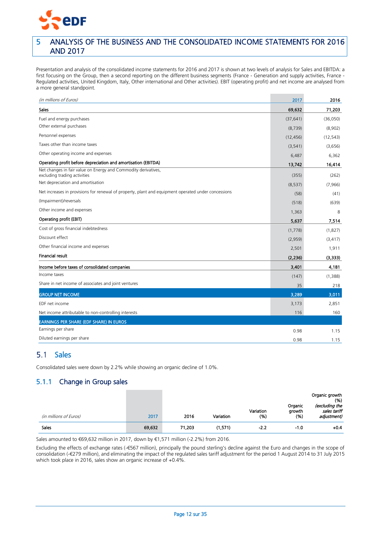

# <span id="page-11-0"></span>5 ANALYSIS OF THE BUSINESS AND THE CONSOLIDATED INCOME STATEMENTS FOR 2016 AND 2017

Presentation and analysis of the consolidated income statements for 2016 and 2017 is shown at two levels of analysis for Sales and EBITDA: a first focusing on the Group, then a second reporting on the different business segments (France - Generation and supply activities, France - Regulated activities, United Kingdom, Italy, Other international and Other activities). EBIT (operating profit) and net income are analysed from a more general standpoint.

| (in millions of Euros)                                                                                                              | 2017              | 2016             |
|-------------------------------------------------------------------------------------------------------------------------------------|-------------------|------------------|
| <b>Sales</b>                                                                                                                        | 69,632            | 71,203           |
| Fuel and energy purchases                                                                                                           | (37, 641)         | (36,050)         |
| Other external purchases                                                                                                            | (8, 739)          | (8,902)          |
| Personnel expenses                                                                                                                  | (12, 456)         | (12, 543)        |
| Taxes other than income taxes                                                                                                       | (3, 541)          | (3,656)          |
| Other operating income and expenses                                                                                                 | 6,487             | 6,362            |
| Operating profit before depreciation and amortisation (EBITDA)                                                                      | 13,742            | 16,414           |
| Net changes in fair value on Energy and Commodity derivatives,<br>excluding trading activities<br>Net depreciation and amortisation | (355)<br>(8, 537) | (262)<br>(7,966) |
| Net increases in provisions for renewal of property, plant and equipment operated under concessions                                 | (58)              | (41)             |
| (Impairment)/reversals                                                                                                              | (518)             | (639)            |
| Other income and expenses                                                                                                           | 1,363             | 8                |
| Operating profit (EBIT)                                                                                                             | 5,637             | 7,514            |
| Cost of gross financial indebtedness                                                                                                | (1,778)           | (1,827)          |
| Discount effect                                                                                                                     | (2,959)           | (3, 417)         |
| Other financial income and expenses                                                                                                 | 2,501             | 1,911            |
| <b>Financial result</b>                                                                                                             | (2, 236)          | (3, 333)         |
| Income before taxes of consolidated companies                                                                                       | 3,401             | 4,181            |
| Income taxes                                                                                                                        | (147)             | (1,388)          |
| Share in net income of associates and joint ventures                                                                                | 35                | 218              |
| <b>GROUP NET INCOME</b>                                                                                                             | 3,289             | 3,011            |
| EDF net income                                                                                                                      | 3,173             | 2,851            |
| Net income attributable to non-controlling interests                                                                                | 116               | 160              |
| <b>EARNINGS PER SHARE (EDF SHARE) IN EUROS</b>                                                                                      |                   |                  |
| Earnings per share                                                                                                                  | 0.98              | 1.15             |
| Diluted earnings per share                                                                                                          | 0.98              | 1.15             |

# <span id="page-11-1"></span>5.1 Sales

Consolidated sales were down by 2.2% while showing an organic decline of 1.0%.

# 5.1.1 Change in Group sales

|                        |        |        |           |                   |                           | Organic growth<br>(% )                        |
|------------------------|--------|--------|-----------|-------------------|---------------------------|-----------------------------------------------|
| (in millions of Euros) | 2017   | 2016   | Variation | Variation<br>(% ) | Organic<br>growth<br>(% ) | (excluding the<br>sales tariff<br>adjustment) |
| Sales                  | 69,632 | 71,203 | (1,571)   | $-2.2$            | $-1.0$                    | $+0.4$                                        |

Sales amounted to €69,632 million in 2017, down by €1,571 million (-2.2%) from 2016.

Excluding the effects of exchange rates (-€567 million), principally the pound sterling's decline against the Euro and changes in the scope of consolidation (-€279 million), and eliminating the impact of the regulated sales tariff adjustment for the period 1 August 2014 to 31 July 2015 which took place in 2016, sales show an organic increase of +0.4%.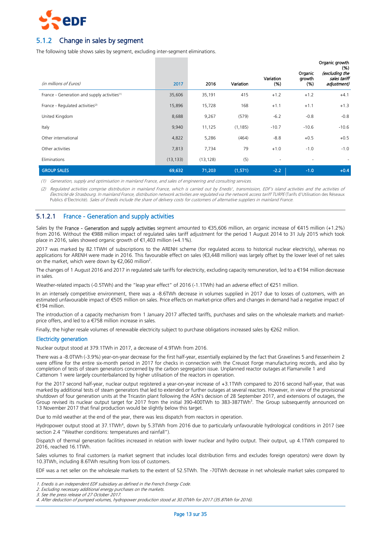

# 5.1.2 Change in sales by segment

The following table shows sales by segment, excluding inter-segment eliminations.

|                                                          |           |           |           |                   |                           | Organic growth<br>(% )                        |
|----------------------------------------------------------|-----------|-----------|-----------|-------------------|---------------------------|-----------------------------------------------|
| (in millions of Euros)                                   | 2017      | 2016      | Variation | Variation<br>(% ) | Organic<br>growth<br>(% ) | (excluding the<br>sales tariff<br>adjustment) |
| France - Generation and supply activities <sup>(1)</sup> | 35,606    | 35,191    | 415       | $+1.2$            | $+1.2$                    | $+4.1$                                        |
| France - Regulated activities <sup>(2)</sup>             | 15,896    | 15,728    | 168       | $+1.1$            | $+1.1$                    | $+1.3$                                        |
| United Kingdom                                           | 8,688     | 9,267     | (579)     | $-6.2$            | $-0.8$                    | $-0.8$                                        |
| Italy                                                    | 9,940     | 11,125    | (1, 185)  | $-10.7$           | $-10.6$                   | $-10.6$                                       |
| Other international                                      | 4,822     | 5,286     | (464)     | $-8.8$            | $+0.5$                    | $+0.5$                                        |
| Other activities                                         | 7,813     | 7,734     | 79        | $+1.0$            | $-1.0$                    | $-1.0$                                        |
| Eliminations                                             | (13, 133) | (13, 128) | (5)       | ٠                 |                           | $\sim$                                        |
| <b>GROUP SALES</b>                                       | 69,632    | 71,203    | (1,571)   | $-2.2$            | $-1.0$                    | $+0.4$                                        |

(1) Generation, supply and optimisation in mainland France, and sales of engineering and consulting services.

(2) Regulated activities comprise distribution in mainland France, which is carried out by Enedis', transmission, EDF's island activities and the activities of Électricité de Strasbourg. In mainland France, distribution network activities are regulated via the network access tariff TURPE (Tarifs d'Utilisation des Réseaux Publics d'Électricité). Sales of Enedis include the share of delivery costs for customers of alternative suppliers in mainland France.

### 5.1.2.1 France - Generation and supply activities

Sales by the France - Generation and supply activities segment amounted to €35,606 million, an organic increase of €415 million (+1.2%) from 2016. Without the €988 million impact of regulated sales tariff adjustment for the period 1 August 2014 to 31 July 2015 which took place in 2016, sales showed organic growth of €1,403 million (+4.1%).

2017 was marked by 82.1TWH of subscriptions to the ARENH scheme (for regulated access to historical nuclear electricity), whereas no applications for ARENH were made in 2016. This favourable effect on sales (€3,448 million) was largely offset by the lower level of net sales on the market, which were down by  $\epsilon$ 2,060 million<sup>2</sup>.

The changes of 1 August 2016 and 2017 in regulated sale tariffs for electricity, excluding capacity remuneration, led to a €194 million decrease in sales.

Weather-related impacts (-0.5TWh) and the "leap year effect" of 2016 (-1.1TWh) had an adverse effect of €251 million.

In an intensely competitive environment, there was a -8.6TWh decrease in volumes supplied in 2017 due to losses of customers, with an estimated unfavourable impact of €505 million on sales. Price effects on market-price offers and changes in demand had a negative impact of €194 million.

The introduction of a capacity mechanism from 1 January 2017 affected tariffs, purchases and sales on the wholesale markets and marketprice offers, and led to a €758 million increase in sales.

Finally, the higher resale volumes of renewable electricity subject to purchase obligations increased sales by €262 million.

#### Electricity generation

Nuclear output stood at 379.1TWh in 2017, a decrease of 4.9TWh from 2016.

There was a -8.0TWh (-3.9%) year-on-year decrease for the first half-year, essentially explained by the fact that Gravelines 5 and Fessenheim 2 were offline for the entire six-month period in 2017 for checks in connection with the Creusot Forge manufacturing records, and also by completion of tests of steam generators concerned by the carbon segregation issue. Unplanned reactor outages at Flamanville 1 and Cattenom 1 were largely counterbalanced by higher utilisation of the reactors in operation.

For the 2017 second half-year, nuclear output registered a year-on-year increase of +3.1TWh compared to 2016 second half-year, that was marked by additional tests of steam generators that led to extended or further outages at several reactors. However, in view of the provisional shutdown of four generation units at the Tricastin plant following the ASN's decision of 28 September 2017, and extensions of outages, the Group revised its nuclear output target for 2017 from the initial 390-400TWh to 383-387TWh<sup>3</sup>. The Group subsequently announced on 13 November 2017 that final production would be slightly below this target.

Due to mild weather at the end of the year, there was less dispatch from reactors in operation.

Hydropower output stood at 37.1TWh<sup>4</sup>, down by 5.3TWh from 2016 due to particularly unfavourable hydrological conditions in 2017 (see section 2.4 "Weather conditions: temperatures and rainfall").

Dispatch of thermal generation facilities increased in relation with lower nuclear and hydro output. Their output, up 4.1TWh compared to 2016, reached 16.1TWh.

Sales volumes to final customers (a market segment that includes local distribution firms and excludes foreign operators) were down by 10.3TWh, including 8.6TWh resulting from loss of customers.

EDF was a net seller on the wholesale markets to the extent of 52.5TWh. The -70TWh decrease in net wholesale market sales compared to

<sup>-</sup>1. Enedis is an independent EDF subsidiary as defined in the French Energy Code.

<sup>2.</sup> Excluding necessary additional energy purchases on the markets.

<sup>3.</sup> See the press release of 27 October 2017.

<sup>4.</sup> After deduction of pumped volumes, hydropower production stood at 30.0TWh for 2017 (35.8TWh for 2016).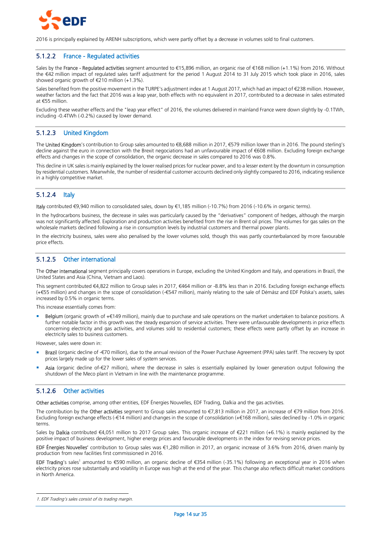

2016 is principally explained by ARENH subscriptions, which were partly offset by a decrease in volumes sold to final customers.

### 5.1.2.2 France - Regulated activities

Sales by the France - Regulated activities segment amounted to €15,896 million, an organic rise of €168 million (+1.1%) from 2016. Without the €42 million impact of regulated sales tariff adjustment for the period 1 August 2014 to 31 July 2015 which took place in 2016, sales showed organic growth of €210 million (+1.3%).

Sales benefited from the positive movement in the TURPE's adjustment index at 1 August 2017, which had an impact of €238 million. However, weather factors and the fact that 2016 was a leap year, both effects with no equivalent in 2017, contributed to a decrease in sales estimated at €55 million.

Excluding these weather effects and the "leap year effect" of 2016, the volumes delivered in mainland France were down slightly by -0.1TWh, including -0.4TWh (-0.2%) caused by lower demand.

# 5.1.2.3 United Kingdom

The United Kingdom's contribution to Group sales amounted to €8,688 million in 2017, €579 million lower than in 2016. The pound sterling's decline against the euro in connection with the Brexit negociations had an unfavourable impact of €608 million. Excluding foreign exchange effects and changes in the scope of consolidation, the organic decrease in sales compared to 2016 was 0.8%.

This decline in UK sales is mainly explained by the lower realised prices for nuclear power, and to a lesser extent by the downturn in consumption by residential customers. Meanwhile, the number of residential customer accounts declined only slightly compared to 2016, indicating resilience in a highly competitive market.

## 5.1.2.4 Italy

Italy contributed €9,940 million to consolidated sales, down by €1,185 million (-10.7%) from 2016 (-10.6% in organic terms).

In the hydrocarbons business, the decrease in sales was particularly caused by the "derivatives" component of hedges, although the margin was not significantly affected. Exploration and production activities benefited from the rise in Brent oil prices. The volumes for gas sales on the wholesale markets declined following a rise in consumption levels by industrial customers and thermal power plants.

In the electricity business, sales were also penalised by the lower volumes sold, though this was partly counterbalanced by more favourable price effects.

### 5.1.2.5 Other international

The Other international segment principally covers operations in Europe, excluding the United Kingdom and Italy, and operations in Brazil, the United States and Asia (China, Vietnam and Laos).

This segment contributed €4,822 million to Group sales in 2017, €464 million or -8.8% less than in 2016. Excluding foreign exchange effects (+€55 million) and changes in the scope of consolidation (-€547 million), mainly relating to the sale of Démász and EDF Polska's assets, sales increased by 0.5% in organic terms.

This increase essentially comes from:

 Belgium (organic growth of +€149 million), mainly due to purchase and sale operations on the market undertaken to balance positions. A further notable factor in this growth was the steady expansion of service activities. There were unfavourable developments in price effects concerning electricity and gas activities, and volumes sold to residential customers; these effects were partly offset by an increase in electricity sales to business customers.

However, sales were down in:

- Brazil (organic decline of -€70 million), due to the annual revision of the Power Purchase Agreement (PPA) sales tariff. The recovery by spot prices largely made up for the lower sales of system services.
- Asia (organic decline of-€27 million), where the decrease in sales is essentially explained by lower generation output following the shutdown of the Meco plant in Vietnam in line with the maintenance programme.

### 5.1.2.6 Other activities

Other activities comprise, among other entities, EDF Énergies Nouvelles, EDF Trading, Dalkia and the gas activities.

The contribution by the Other activities segment to Group sales amounted to €7,813 million in 2017, an increase of €79 million from 2016. Excluding foreign exchange effects (-€14 million) and changes in the scope of consolidation (+€168 million), sales declined by -1.0% in organic terms.

Sales by Dalkia contributed €4,051 million to 2017 Group sales. This organic increase of €221 million (+6.1%) is mainly explained by the positive impact of business development, higher energy prices and favourable developments in the index for revising service prices.

EDF Énergies Nouvelles' contribution to Group sales was €1,280 million in 2017, an organic increase of 3.6% from 2016, driven mainly by production from new facilities first commissioned in 2016.

EDF Trading's sales<sup>1</sup> amounted to €590 million, an organic decline of €354 million (-35.1%) following an exceptional year in 2016 when electricity prices rose substantially and volatility in Europe was high at the end of the year. This change also reflects difficult market conditions in North America.

<sup>1</sup> 1. EDF Trading's sales consist of its trading margin.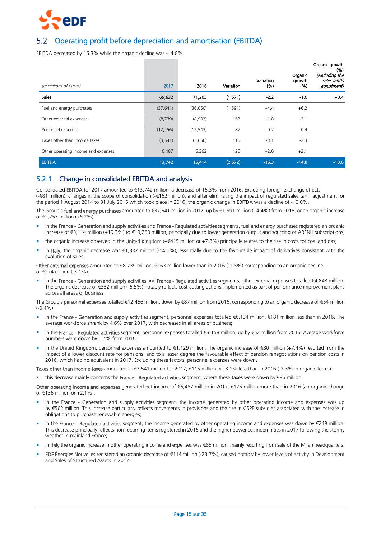

# <span id="page-14-0"></span>Operating profit before depreciation and amortisation (EBITDA)

EBITDA decreased by 16.3% while the organic decline was -14.8%.

|                                     |           |           |           | Variation | Organic<br>growth | Organic growth<br>(%)<br>(excluding the<br>sales tariffs |
|-------------------------------------|-----------|-----------|-----------|-----------|-------------------|----------------------------------------------------------|
| (in millions of Euros)              | 2017      | 2016      | Variation | (% )      | (% )              | adjustment)                                              |
| <b>Sales</b>                        | 69,632    | 71,203    | (1,571)   | $-2.2$    | $-1.0$            | $+0.4$                                                   |
| Fuel and energy purchases           | (37, 641) | (36,050)  | (1, 591)  | $+4.4$    | $+6.2$            |                                                          |
| Other external expenses             | (8, 739)  | (8,902)   | 163       | $-1.8$    | $-3.1$            |                                                          |
| Personnel expenses                  | (12, 456) | (12, 543) | 87        | $-0.7$    | $-0.4$            |                                                          |
| Taxes other than income taxes       | (3, 541)  | (3,656)   | 115       | $-3.1$    | $-2.3$            |                                                          |
| Other operating income and expenses | 6,487     | 6,362     | 125       | $+2.0$    | $+2.1$            |                                                          |
| <b>EBITDA</b>                       | 13,742    | 16,414    | (2,672)   | $-16.3$   | $-14.8$           | $-10.0$                                                  |

# 5.2.1 Change in consolidated EBITDA and analysis

Consolidated EBITDA for 2017 amounted to €13,742 million, a decrease of 16.3% from 2016. Excluding foreign exchange effects (-€81 million), changes in the scope of consolidation (-€162 million), and after eliminating the impact of regulated sales tariff adjustment for the period 1 August 2014 to 31 July 2015 which took place in 2016, the organic change in EBITDA was a decline of -10.0%.

The Group's fuel and energy purchases amounted to €37,641 million in 2017, up by €1,591 million (+4.4%) from 2016, or an organic increase of €2,253 million (+6.2%):

- in the France Generation and supply activities and France Regulated activities segments, fuel and energy purchases registered an organic increase of €3,114 million (+19.3%) to €19,260 million, principally due to lower generation output and sourcing of ARENH subscriptions;
- the organic increase observed in the United Kingdom (+€415 million or +7.8%) principally relates to the rise in costs for coal and gas;
- in Italy, the organic decrease was €1,332 million (-14.0%), essentially due to the favourable impact of derivatives consistent with the evolution of sales.

Other external expenses amounted to €8,739 million, €163 million lower than in 2016 (-1.8%) corresponding to an organic decline of  $\epsilon$ 274 million (-3.1%):

 in the France - Generation and supply activities and France - Regulated activities segments, other external expenses totalled €4,848 million. The organic decrease of €332 million (-6.5%) notably reflects cost-cutting actions implemented as part of performance improvement plans across all areas of business.

The Group's personnel expenses totalled €12,456 million, down by €87 million from 2016, corresponding to an organic decrease of €54 million  $(-0.4\%)$ 

- in the France Generation and supply activities segment, personnel expenses totalled €6,134 million, €181 million less than in 2016. The average workforce shrank by 4.6% over 2017, with decreases in all areas of business;
- in the France Regulated activities segment, personnel expenses totalled €3,158 million, up by €52 million from 2016. Average workforce numbers were down by 0.7% from 2016;
- in the United Kingdom, personnel expenses amounted to €1,129 million. The organic increase of €80 million (+7.4%) resulted from the impact of a lower discount rate for pensions, and to a lesser degree the favourable effect of pension renegotiations on pension costs in 2016, which had no equivalent in 2017. Excluding these factors, personnel expenses were down.

Taxes other than income taxes amounted to €3,541 million for 2017, €115 million or -3.1% less than in 2016 (-2.3% in organic terms):

this decrease mainly concerns the France - Regulated activities segment, where these taxes were down by €86 million.

Other operating income and expenses generated net income of €6,487 million in 2017, €125 million more than in 2016 (an organic change of €136 million or +2.1%):

- in the France Generation and supply activities segment, the income generated by other operating income and expenses was up by €562 million. This increase particularly reflects movements in provisions and the rise in CSPE subsidies associated with the increase in obligations to purchase renewable energies;
- in the France Regulated activities segment, the income generated by other operating income and expenses was down by €249 million. This decrease principally reflects non-recurring items registered in 2016 and the higher power cut indemnities in 2017 following the stormy weather in mainland France;
- in Italy the organic increase in other operating income and expenses was €85 million, mainly resulting from sale of the Milan headquarters;
- EDF Énergies Nouvelles registered an organic decrease of €114 million (-23.7%), caused notably by lower levels of activity in Development and Sales of Structured Assets in 2017.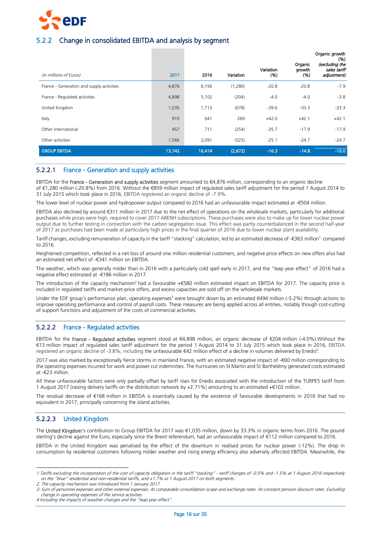

# 5.2.2 Change in consolidated EBITDA and analysis by segment

|                                           |        |        |           | Variation | Organic<br>growth | Organic growth<br>(%)<br>(excluding the<br>sales tariff |
|-------------------------------------------|--------|--------|-----------|-----------|-------------------|---------------------------------------------------------|
| (in millions of Euros)                    | 2017   | 2016   | Variation | (% )      | (% )              | adjustment)                                             |
| France - Generation and supply activities | 4,876  | 6,156  | (1,280)   | $-20.8$   | $-20.8$           | $-7.9$                                                  |
| France - Regulated activities             | 4,898  | 5,102  | (204)     | $-4.0$    | $-4.0$            | $-3.8$                                                  |
| United Kingdom                            | 1,035  | 1,713  | (678)     | $-39.6$   | $-33.3$           | $-33.3$                                                 |
| Italy                                     | 910    | 641    | 269       | $+42.0$   | $+42.1$           | $+42.1$                                                 |
| Other international                       | 457    | 711    | (254)     | $-35.7$   | $-17.9$           | $-17.9$                                                 |
| Other activities                          | 1,566  | 2,091  | (525)     | $-25.1$   | $-24.7$           | $-24.7$                                                 |
| <b>GROUP EBITDA</b>                       | 13,742 | 16,414 | (2,672)   | $-16.3$   | $-14.8$           | $-10.0$                                                 |

## 5.2.2.1 France - Generation and supply activities

EBITDA for the France - Generation and supply activities segment amounted to €4,876 million, corresponding to an organic decline of €1,280 million (-20.8%) from 2016. Without the €859 million impact of regulated sales tariff adjustment for the period 1 August 2014 to 31 July 2015 which took place in 2016, EBITDA registered an organic decline of -7.9%.

The lower level of nuclear power and hydropower output compared to 2016 had an unfavourable impact estimated at -€504 million.

EBITDA also declined by around €311 million in 2017 due to the net effect of operations on the wholesale markets, particularly for additional purchases while prices were high, required to cover 2017 ARENH subscriptions. These purchases were also to make up for lower nuclear power output due to further testing in connection with the carbon segregation issue. This effect was partly counterbalanced in the second half-year of 2017 as purchases had been made at particularly high prices in the final quarter of 2016 due to lower nuclear plant availability.

Tariff changes, excluding remuneration of capacity in the tariff "stacking" calculation, led to an estimated decrease of -€363 million<sup>1</sup> compared to 2016.

Heightened competition, reflected in a net loss of around one million residential customers, and negative price effects on new offers also had an estimated net effect of -€341 million on EBITDA.

The weather, which was generally milder than in 2016 with a particularly cold spell early in 2017, and the "leap year effect" of 2016 had a negative effect estimated at -€186 million in 2017.

The introduction of the capacity mechanism<sup>2</sup> had a favourable +€580 million estimated impact on EBITDA for 2017. The capacity price is included in regulated tariffs and market-price offers, and excess capacities are sold off on the wholesale markets.

Under the EDF group's performance plan, operating expenses<sup>3</sup> were brought down by an estimated €494 million (-5.2%) through actions to improve operating performance and control of payroll costs. These measures are being applied across all entities, notably though cost-cutting of support functions and adjustment of the costs of commercial activities.

# 5.2.2.2 France - Regulated activities

EBITDA for the France - Regulated activities segment stood at €4,898 million, an organic decrease of €204 million (-4.0%).Without the €13 million impact of regulated sales tariff adjustment for the period 1 August 2014 to 31 July 2015 which took place in 2016, EBITDA registered an organic decline of -3.8%, including the unfavourable €42 million effect of a decline in volumes delivered by Enedis<sup>4</sup>.

2017 was also marked by exceptionally fierce storms in mainland France, with an estimated negative impact of -€60 million corresponding to the operating expenses incurred for work and power cut indemnities. The hurricanes on St Martin and St Barthélémy generated costs estimated at -€23 million.

All these unfavourable factors were only partially offset by tariff rises for Enedis associated with the introduction of the TURPE5 tariff from 1 August 2017 (raising delivery tariffs on the distribution network by +2.71%) amounting to an estimated +€102 million.

The residual decrease of €168 million in EBITDA is essentially caused by the existence of favourable developments in 2016 that had no equivalent in 2017, principally concerning the island activities.

# 5.2.2.3 United Kingdom

-

The United Kingdom's contribution to Group EBITDA for 2017 was €1,035 million, down by 33.3% in organic terms from 2016. The pound sterling's decline against the Euro, especially since the Brexit referendum, had an unfavourable impact of €112 million compared to 2016.

EBITDA in the United Kingdom was penalised by the effect of the downturn in realised prices for nuclear power (-12%). The drop in consumption by residential customers following milder weather and rising energy efficiency also adversely affected EBITDA. Meanwhile, the

<sup>1</sup> Tariffs excluding the incorporation of the cost of capacity obligation in the tariff "stacking" - tariff changes of -0.5% and -1.5% at 1 August 2016 respectively on the "blue" residential and non-residential tariffs, and +1.7% at 1 August 2017 on both segments.

<sup>2.</sup> The capacity mechanism was introduced from 1 January 2017.

<sup>3.</sup> Sum of personnel expenses and other external expenses. At comparable consolidation scope and exchange rates. At constant pension discount rates. Excluding change in operating expenses of the service activities.

<sup>4</sup> Including the impacts of weather changes and the "leap year effect".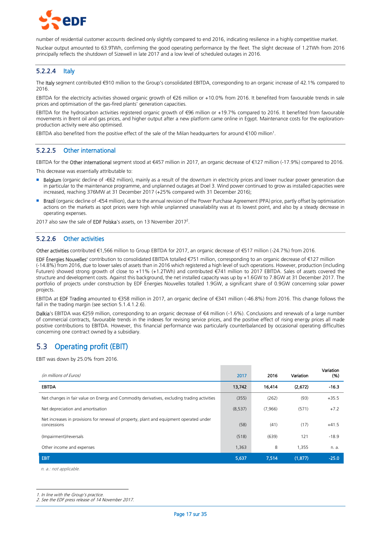

number of residential customer accounts declined only slightly compared to end 2016, indicating resilience in a highly competitive market.

Nuclear output amounted to 63.9TWh, confirming the good operating performance by the fleet. The slight decrease of 1.2TWh from 2016 principally reflects the shutdown of Sizewell in late 2017 and a low level of scheduled outages in 2016.

### 5.2.2.4 Italy

The Italy segment contributed €910 million to the Group's consolidated EBITDA, corresponding to an organic increase of 42.1% compared to 2016.

EBITDA for the electricity activities showed organic growth of €26 million or +10.0% from 2016. It benefited from favourable trends in sale prices and optimisation of the gas-fired plants' generation capacities.

EBITDA for the hydrocarbon activities registered organic growth of €96 million or +19.7% compared to 2016. It benefited from favourable movements in Brent oil and gas prices, and higher output after a new platform came online in Egypt. Maintenance costs for the explorationproduction activity were also optimised.

EBITDA also benefited from the positive effect of the sale of the Milan headquarters for around  $\epsilon$ 100 million<sup>1</sup>.

## 5.2.2.5 Other international

EBITDA for the Other international segment stood at €457 million in 2017, an organic decrease of €127 million (-17.9%) compared to 2016. This decrease was essentially attributable to:

- Belgium (organic decline of -€62 million), mainly as a result of the downturn in electricity prices and lower nuclear power generation due in particular to the maintenance programme, and unplanned outages at Doel 3. Wind power continued to grow as installed capacities were
- increased, reaching 376MW at 31 December 2017 (+25% compared with 31 December 2016); Brazil (organic decline of -€54 million), due to the annual revision of the Power Purchase Agreement (PPA) price, partly offset by optimisation actions on the markets as spot prices were high while unplanned unavailability was at its lowest point, and also by a steady decrease in operating expenses.

2017 also saw the sale of EDF Polska's assets, on 13 November 2017<sup>2</sup>.

### 5.2.2.6 Other activities

Other activities contributed €1,566 million to Group EBITDA for 2017, an organic decrease of €517 million (-24.7%) from 2016.

EDF Énergies Nouvelles' contribution to consolidated EBITDA totalled €751 million, corresponding to an organic decrease of €127 million (-14.8%) from 2016, due to lower sales of assets than in 2016 which registered a high level of such operations. However, production (including Futuren) showed strong growth of close to +11% (+1.2TWh) and contributed €741 million to 2017 EBITDA. Sales of assets covered the structure and development costs. Against this background, the net installed capacity was up by +1.6GW to 7.8GW at 31 December 2017. The portfolio of projects under construction by EDF Énergies Nouvelles totalled 1.9GW, a significant share of 0.9GW concerning solar power projects.

EBITDA at EDF Trading amounted to €358 million in 2017, an organic decline of €341 million (-46.8%) from 2016. This change follows the fall in the trading margin (see section 5.1.4.1.2.6).

Dalkia's EBITDA was €259 million, corresponding to an organic decrease of €4 million (-1.6%). Conclusions and renewals of a large number of commercial contracts, favourable trends in the indexes for revising service prices, and the positive effect of rising energy prices all made positive contributions to EBITDA. However, this financial performance was particularly counterbalanced by occasional operating difficulties concerning one contract owned by a subsidiary.

# <span id="page-16-0"></span>5.3 Operating profit (EBIT)

EBIT was down by 25.0% from 2016.

| (in millions of Euros)                                                                                 | 2017    | 2016    | Variation | Variation<br>(% ) |
|--------------------------------------------------------------------------------------------------------|---------|---------|-----------|-------------------|
| <b>EBITDA</b>                                                                                          | 13,742  | 16,414  | (2,672)   | $-16.3$           |
| Net changes in fair value on Energy and Commodity derivatives, excluding trading activities            | (355)   | (262)   | (93)      | $+35.5$           |
| Net depreciation and amortisation                                                                      | (8,537) | (7,966) | (571)     | $+7.2$            |
| Net increases in provisions for renewal of property, plant and equipment operated under<br>concessions | (58)    | (41)    | (17)      | $+41.5$           |
| (Impairment)/reversals                                                                                 | (518)   | (639)   | 121       | $-18.9$           |
| Other income and expenses                                                                              | 1,363   | 8       | 1,355     | n. a.             |
| <b>EBIT</b>                                                                                            | 5,637   | 7,514   | (1, 877)  | $-25.0$           |

n. a.: not applicable.

-

<sup>1.</sup> In line with the Group's practice.

<sup>2.</sup> See the EDF press release of 14 November 2017.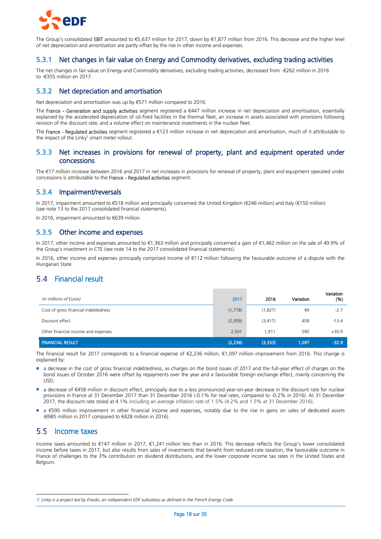

The Group's consolidated EBIT amounted to €5,637 million for 2017, down by €1,877 million from 2016. This decrease and the higher level of net depreciation and amortisation are partly offset by the rise in other income and expenses.

# 5.3.1 Net changes in fair value on Energy and Commodity derivatives, excluding trading activities

The net changes in fair value on Energy and Commodity derivatives, excluding trading activities, decreased from -€262 million in 2016 to -€355 million en 2017.

# 5.3.2 Net depreciation and amortisation

Net depreciation and amortisation was up by €571 million compared to 2016.

The France - Generation and supply activities segment registered a €447 million increase in net depreciation and amortisation, essentially explained by the accelerated depreciation of oil-fired facilities in the thermal fleet, an increase in assets associated with provisions following revision of the discount rate, and a volume effect on maintenance investments in the nuclear fleet.

The France - Regulated activities segment registered a €123 million increase in net depreciation and amortisation, much of it attributable to the impact of the Linky<sup>1</sup> smart meter rollout.

# 5.3.3 Net increases in provisions for renewal of property, plant and equipment operated under concessions

The €17 million increase between 2016 and 2017 in net increases in provisions for renewal of property, plant and equipment operated under concessions is attributable to the France - Regulated activities segment.

# 5.3.4 Impairment/reversals

In 2017, impairment amounted to €518 million and principally concerned the United Kingdom (€246 million) and Italy (€150 million) (see note 13 to the 2017 consolidated financial statements).

In 2016, impairment amounted to €639 million.

## 5.3.5 Other income and expenses

In 2017, other income and expenses amounted to €1,363 million and principally concerned a gain of €1,462 million on the sale of 49.9% of the Group's investment in CTE (see note 14 to the 2017 consolidated financial statements).

In 2016, other income and expenses principally comprised income of €112 million following the favourable outcome of a dispute with the Hungarian State.

# <span id="page-17-0"></span>Financial result

| (in millions of Euros)               | 2017     | 2016     | Variation | Variation<br>(%) |
|--------------------------------------|----------|----------|-----------|------------------|
| Cost of gross financial indebtedness | (1,778)  | (1,827)  | 49        | $-2.7$           |
| Discount effect                      | (2,959)  | (3, 417) | 458       | $-13.4$          |
| Other financial income and expenses  | 2,501    | 1,911    | 590       | $+30.9$          |
| <b>FINANCIAL RESULT</b>              | (2, 236) | (3,333)  | 1,097     | $-32.9$          |

The financial result for 2017 corresponds to a financial expense of €2,236 million, €1,097 million improvement from 2016. This change is explained by:

- a decrease in the cost of gross financial indebtedness, as charges on the bond issues of 2017 and the full-year effect of charges on the bond issues of October 2016 were offset by repayments over the year and a favourable foreign exchange effect, mainly concerning the USD;
- a decrease of €458 million in discount effect, principally due to a less pronounced year-on-year decrease in the discount rate for nuclear provisions in France at 31 December 2017 than 31 December 2016 (-0.1% for real rates, compared to -0.2% in 2016). At 31 December 2017, the discount rate stood at 4.1% including an average inflation rate of 1.5% (4.2% and 1.5% at 31 December 2016);
- a €590 million improvement in other financial income and expenses, notably due to the rise in gains on sales of dedicated assets (€985 million in 2017 compared to €428 million in 2016).

#### <span id="page-17-1"></span> $5.5$ Income taxes

-

Income taxes amounted to €147 million in 2017, €1,241 million less than in 2016. This decrease reflects the Group's lower consolidated income before taxes in 2017, but also results from sales of investments that benefit from reduced-rate taxation, the favourable outcome in France of challenges to the 3% contribution on dividend distributions, and the lower corporate income tax rates in the United States and Belgium.

<sup>1.</sup> Linky is a project led by Enedis, an independent EDF subsidiary as defined in the French Energy Code.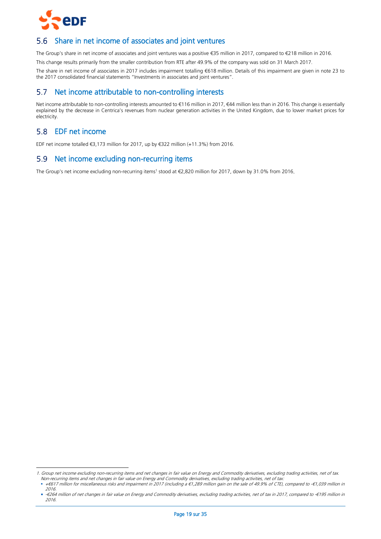

#### <span id="page-18-0"></span>5.6 Share in net income of associates and joint ventures

The Group's share in net income of associates and joint ventures was a positive €35 million in 2017, compared to €218 million in 2016.

This change results primarily from the smaller contribution from RTE after 49.9% of the company was sold on 31 March 2017.

The share in net income of associates in 2017 includes impairment totalling €618 million. Details of this impairment are given in note 23 to the 2017 consolidated financial statements "Investments in associates and joint ventures".

# <span id="page-18-1"></span>5.7 Net income attributable to non-controlling interests

Net income attributable to non-controlling interests amounted to €116 million in 2017, €44 million less than in 2016. This change is essentially explained by the decrease in Centrica's revenues from nuclear generation activities in the United Kingdom, due to lower market prices for electricity.

# <span id="page-18-2"></span>EDF net income

-

EDF net income totalled €3,173 million for 2017, up by €322 million (+11.3%) from 2016.

# <span id="page-18-3"></span>5.9 Net income excluding non-recurring items

The Group's net income excluding non-recurring items<sup>1</sup> stood at €2,820 million for 2017, down by 31.0% from 2016.

<sup>1.</sup> Group net income excluding non-recurring items and net changes in fair value on Energy and Commodity derivatives, excluding trading activities, net of tax. Non-recurring items and net changes in fair value on Energy and Commodity derivatives, excluding trading activities, net of tax:

<sup>+</sup>€617 million for miscellaneous risks and impairment in 2017 (including a €1,289 million gain on the sale of 49.9% of CTE), compared to -€1,039 million in 2016.

-€<sup>264</sup> million of net changes in fair value on Energy and Commodity derivatives, excluding trading activities, net of tax in 2017, compared to -€195 million in 2016.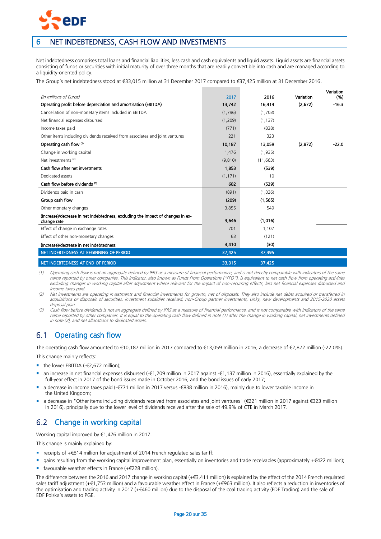

# <span id="page-19-0"></span>6 NET INDEBTEDNESS, CASH FLOW AND INVESTMENTS

Net indebtedness comprises total loans and financial liabilities, less cash and cash equivalents and liquid assets. Liquid assets are financial assets consisting of funds or securities with initial maturity of over three months that are readily convertible into cash and are managed according to a liquidity-oriented policy.

The Group's net indebtedness stood at €33,015 million at 31 December 2017 compared to €37,425 million at 31 December 2016.

| (in millions of Euros)                                                          | 2017     | 2016      | Variation | Variation<br>(% ) |
|---------------------------------------------------------------------------------|----------|-----------|-----------|-------------------|
| Operating profit before depreciation and amortisation (EBITDA)                  | 13,742   | 16,414    | (2,672)   | $-16.3$           |
| Cancellation of non-monetary items included in EBITDA                           | (1,796)  | (1,703)   |           |                   |
| Net financial expenses disbursed                                                | (1,209)  | (1, 137)  |           |                   |
| Income taxes paid                                                               | (771)    | (838)     |           |                   |
| Other items including dividends received from associates and joint ventures     | 221      | 323       |           |                   |
|                                                                                 |          |           |           |                   |
| Operating cash flow (1)                                                         | 10,187   | 13,059    | (2,872)   | $-22.0$           |
| Change in working capital                                                       | 1,476    | (1,935)   |           |                   |
| Net investments <sup>(2)</sup>                                                  | (9,810)  | (11, 663) |           |                   |
| Cash flow after net investments                                                 | 1,853    | (539)     |           |                   |
| Dedicated assets                                                                | (1, 171) | 10        |           |                   |
| Cash flow before dividends (3)                                                  | 682      | (529)     |           |                   |
| Dividends paid in cash                                                          | (891)    | (1,036)   |           |                   |
| Group cash flow                                                                 | (209)    | (1,565)   |           |                   |
| Other monetary changes                                                          | 3,855    | 549       |           |                   |
| (Increase)/decrease in net indebtedness, excluding the impact of changes in ex- | 3,646    | (1,016)   |           |                   |
| change rate                                                                     |          |           |           |                   |
| Effect of change in exchange rates                                              | 701      | 1,107     |           |                   |
| Effect of other non-monetary changes                                            | 63       | (121)     |           |                   |
| (Increase)/decrease in net indebtedness                                         | 4,410    | (30)      |           |                   |
| NET INDEBTEDNESS AT BEGINNING OF PERIOD                                         | 37,425   | 37,395    |           |                   |
| NET INDEBTEDNESS AT END OF PERIOD                                               | 33,015   | 37,425    |           |                   |

(1) Operating cash flow is not an aggregate defined by IFRS as a measure of financial performance, and is not directly comparable with indicators of the same name reported by other companies. This indicator, also known as Funds From Operations ("FFO"), is equivalent to net cash flow from operating activities excluding changes in working capital after adjustment where relevant for the impact of non-recurring effects, less net financial expenses disbursed and income taxes paid.

(2) Net investments are operating investments and financial investments for growth, net of disposals. They also include net debts acquired or transferred in acquisitions or disposals of securities, investment subsidies received, non-Group partner investments, Linky, new developments and 2015-2020 assets disposal plan.

(3) Cash flow before dividends is not an aggregate defined by IFRS as a measure of financial performance, and is not comparable with indicators of the same name reported by other companies. It is equal to the operating cash flow defined in note (1) after the change in working capital, net investments defined in note (2), and net allocations to dedicated assets.

#### <span id="page-19-1"></span> $6.1$ Operating cash flow

The operating cash flow amounted to €10,187 million in 2017 compared to €13,059 million in 2016, a decrease of €2,872 million (-22.0%). This change mainly reflects:

- the lower EBITDA  $(-£2,672$  million);
- an increase in net financial expenses disbursed (-€1,209 million in 2017 against -€1,137 million in 2016), essentially explained by the full-year effect in 2017 of the bond issues made in October 2016, and the bond issues of early 2017;
- a decrease in income taxes paid (-€771 million in 2017 versus -€838 million in 2016), mainly due to lower taxable income in the United Kingdom;
- a decrease in "Other items including dividends received from associates and joint ventures" (€221 million in 2017 against €323 million in 2016), principally due to the lower level of dividends received after the sale of 49.9% of CTE in March 2017.

#### <span id="page-19-2"></span>Change in working capital  $6.2$

Working capital improved by €1,476 million in 2017.

This change is mainly explained by:

- receipts of +€814 million for adjustment of 2014 French regulated sales tariff;
- gains resulting from the working capital improvement plan, essentially on inventories and trade receivables (approximately +€422 million);
- favourable weather effects in France (+€228 million).

The difference between the 2016 and 2017 change in working capital (+€3,411 million) is explained by the effect of the 2014 French regulated sales tariff adjustment (+€1,753 million) and a favourable weather effect in France (+€963 million). It also reflects a reduction in inventories of the optimisation and trading activity in 2017 (+€460 million) due to the disposal of the coal trading activity (EDF Trading) and the sale of EDF Polska's assets to PGE.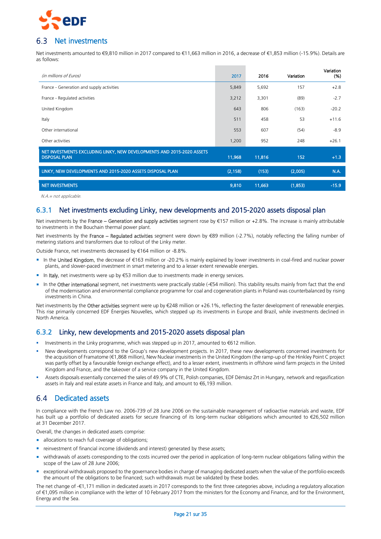

#### <span id="page-20-0"></span>6 R Net investments

Net investments amounted to €9,810 million in 2017 compared to €11,663 million in 2016, a decrease of €1,853 million (-15.9%). Details are as follows:

| (in millions of Euros)                                                                         | 2017     | 2016   | Variation | Variation<br>(% ) |
|------------------------------------------------------------------------------------------------|----------|--------|-----------|-------------------|
| France - Generation and supply activities                                                      | 5,849    | 5,692  | 157       | $+2.8$            |
| France - Regulated activities                                                                  | 3,212    | 3,301  | (89)      | $-2.7$            |
| United Kingdom                                                                                 | 643      | 806    | (163)     | $-20.2$           |
| Italy                                                                                          | 511      | 458    | 53        | $+11.6$           |
| Other international                                                                            | 553      | 607    | (54)      | $-8.9$            |
| Other activities                                                                               | 1,200    | 952    | 248       | $+26.1$           |
| NET INVESTMENTS EXCLUDING LINKY, NEW DEVELOPMENTS AND 2015-2020 ASSETS<br><b>DISPOSAL PLAN</b> | 11,968   | 11,816 | 152       | $+1.3$            |
| LINKY, NEW DEVELOPMENTS AND 2015-2020 ASSETS DISPOSAL PLAN                                     | (2, 158) | (153)  | (2,005)   | N.A.              |
| <b>NET INVESTMENTS</b>                                                                         | 9,810    | 11,663 | (1,853)   | $-15.9$           |

N.A.= not applicable.

# 6.3.1 Net investments excluding Linky, new developments and 2015-2020 assets disposal plan

Net investments by the France – Generation and supply activities segment rose by €157 million or +2.8%. The increase is mainly attributable to investments in the Bouchain thermal power plant.

Net investments by the France – Regulated activities segment were down by €89 million (-2.7%), notably reflecting the falling number of metering stations and transformers due to rollout of the Linky meter.

Outside France, net investments decreased by €164 million or -8.8%.

- In the United Kingdom, the decrease of €163 million or -20.2% is mainly explained by lower investments in coal-fired and nuclear power plants, and slower-paced investment in smart metering and to a lesser extent renewable energies.
- In Italy, net investments were up by €53 million due to investments made in energy services.
- In the Other international segment, net investments were practically stable (-€54 million). This stability results mainly from fact that the end of the modernisation and environmental compliance programme for coal and cogeneration plants in Poland was counterbalanced by rising investments in China.

Net investments by the Other activities segment were up by €248 million or +26.1%, reflecting the faster development of renewable energies. This rise primarily concerned EDF Énergies Nouvelles, which stepped up its investments in Europe and Brazil, while investments declined in North America.

# 6.3.2 Linky, new developments and 2015-2020 assets disposal plan

- Investments in the Linky programme, which was stepped up in 2017, amounted to €612 million.
- New developments correspond to the Group's new development projects. In 2017, these new developments concerned investments for the acquisition of Framatome (€1,868 million), New Nuclear investments in the United Kingdom (the ramp-up of the Hinkley Point C project was partly offset by a favourable foreign exchange effect), and to a lesser extent, investments in offshore wind farm projects in the United Kingdom and France, and the takeover of a service company in the United Kingdom.
- Assets disposals essentially concerned the sales of 49.9% of CTE, Polish companies, EDF Démász Zrt in Hungary, network and regasification assets in Italy and real estate assets in France and Italy, and amount to €6,193 million.

#### <span id="page-20-1"></span>6.4 Dedicated assets

In compliance with the French Law no. 2006-739 of 28 June 2006 on the sustainable management of radioactive materials and waste, EDF has built up a portfolio of dedicated assets for secure financing of its long-term nuclear obligations which amounted to €26,502 million at 31 December 2017.

Overall, the changes in dedicated assets comprise:

- allocations to reach full coverage of obligations;
- **F** reinvestment of financial income (dividends and interest) generated by these assets;
- withdrawals of assets corresponding to the costs incurred over the period in application of long-term nuclear obligations falling within the scope of the Law of 28 June 2006;
- exceptional withdrawals proposed to the governance bodies in charge of managing dedicated assets when the value of the portfolio exceeds the amount of the obligations to be financed; such withdrawals must be validated by these bodies.

The net change of -€1,171 million in dedicated assets in 2017 corresponds to the first three categories above, including a regulatory allocation of €1,095 million in compliance with the letter of 10 February 2017 from the ministers for the Economy and Finance, and for the Environment, Energy and the Sea.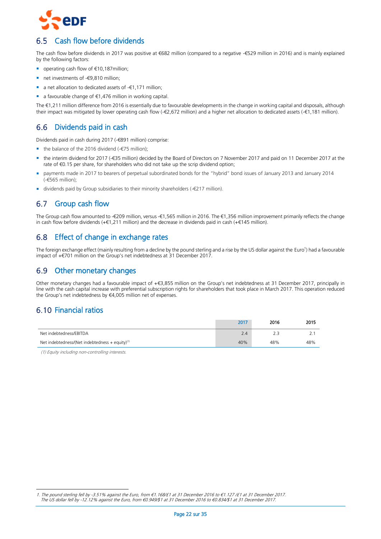

# <span id="page-21-0"></span>Cash flow before dividends

The cash flow before dividends in 2017 was positive at €682 million (compared to a negative -€529 million in 2016) and is mainly explained by the following factors:

- operating cash flow of €10,187million;
- net investments of -€9,810 million;
- a net allocation to dedicated assets of -€1,171 million;
- a favourable change of €1,476 million in working capital.

The €1,211 million difference from 2016 is essentially due to favourable developments in the change in working capital and disposals, although their impact was mitigated by lower operating cash flow (-€2,672 million) and a higher net allocation to dedicated assets (-€1,181 million).

#### <span id="page-21-1"></span>Dividends paid in cash 6.6

Dividends paid in cash during 2017 (-€891 million) comprise:

- the balance of the 2016 dividend (-€75 million);
- the interim dividend for 2017 (-€35 million) decided by the Board of Directors on 7 November 2017 and paid on 11 December 2017 at the rate of €0.15 per share, for shareholders who did not take up the scrip dividend option;
- payments made in 2017 to bearers of perpetual subordinated bonds for the "hybrid" bond issues of January 2013 and January 2014 (-€565 million);
- dividends paid by Group subsidiaries to their minority shareholders (-€217 million).

#### <span id="page-21-2"></span> $6.7$ Group cash flow

The Group cash flow amounted to -€209 million, versus -€1,565 million in 2016. The €1,356 million improvement primarily reflects the change in cash flow before dividends (+€1,211 million) and the decrease in dividends paid in cash (+€145 million).

# <span id="page-21-3"></span>6.8 Effect of change in exchange rates

The foreign exchange effect (mainly resulting from a decline by the pound sterling and a rise by the US dollar against the Euro<sup>1</sup>) had a favourable impact of +€701 million on the Group's net indebtedness at 31 December 2017.

# <span id="page-21-4"></span>6.9 Other monetary changes

Other monetary changes had a favourable impact of +€3,855 million on the Group's net indebtedness at 31 December 2017, principally in line with the cash capital increase with preferential subscription rights for shareholders that took place in March 2017. This operation reduced the Group's net indebtedness by €4,005 million net of expenses.

# <span id="page-21-5"></span>6.10 Financial ratios

|                                                             | 2017 | 2016 | 2015 |
|-------------------------------------------------------------|------|------|------|
| Net indebtedness/EBITDA                                     | 2.4  |      | Ź.,  |
| Net indebtedness/(Net indebtedness + equity) <sup>(1)</sup> | 40%  | 48%  | 48%  |

(1) Equity including non-controlling interests.

<sup>-</sup>1. The pound sterling fell by -3.51% against the Euro, from €1.168/£1 at 31 December 2016 to €1.127 /£1 at 31 December 2017. The US dollar fell by -12.12% against the Euro, from €0.949/\$1 at 31 December 2016 to €0.834/\$1 at 31 December 2017.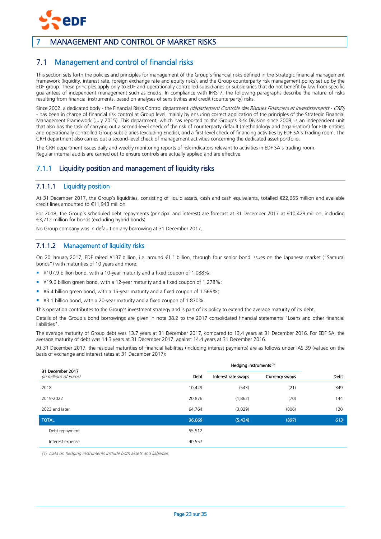

# <span id="page-22-0"></span>7 MANAGEMENT AND CONTROL OF MARKET RISKS

#### <span id="page-22-1"></span> $7.1$ Management and control of financial risks

This section sets forth the policies and principles for management of the Group's financial risks defined in the Strategic financial management framework (liquidity, interest rate, foreign exchange rate and equity risks), and the Group counterparty risk management policy set up by the EDF group. These principles apply only to EDF and operationally controlled subsidiaries or subsidiaries that do not benefit by law from specific guarantees of independent management such as Enedis. In compliance with IFRS 7, the following paragraphs describe the nature of risks resulting from financial instruments, based on analyses of sensitivities and credit (counterparty) risks.

Since 2002, a dedicated body - the Financial Risks Control department (département Contrôle des Risques Financiers et Investissements - CRFI) - has been in charge of financial risk control at Group level, mainly by ensuring correct application of the principles of the Strategic Financial Management Framework (July 2015). This department, which has reported to the Group's Risk Division since 2008, is an independent unit that also has the task of carrying out a second-level check of the risk of counterparty default (methodology and organisation) for EDF entities and operationally controlled Group subsidiaries (excluding Enedis), and a first-level check of financing activities by EDF SA's Trading room. The CRFI department also carries out a second-level check of management activities concerning the dedicated asset portfolio.

The CRFI department issues daily and weekly monitoring reports of risk indicators relevant to activities in EDF SA's trading room. Regular internal audits are carried out to ensure controls are actually applied and are effective.

# 7.1.1 Liquidity position and management of liquidity risks

# 7.1.1.1 Liquidity position

At 31 December 2017, the Group's liquidities, consisting of liquid assets, cash and cash equivalents, totalled €22,655 million and available credit lines amounted to €11,943 million.

For 2018, the Group's scheduled debt repayments (principal and interest) are forecast at 31 December 2017 at €10,429 million, including €3,712 million for bonds (excluding hybrid bonds).

No Group company was in default on any borrowing at 31 December 2017.

## 7.1.1.2 Management of liquidity risks

On 20 January 2017, EDF raised ¥137 billion, i.e. around €1.1 billion, through four senior bond issues on the Japanese market ("Samurai bonds") with maturities of 10 years and more:

- ¥107.9 billion bond, with a 10-year maturity and a fixed coupon of 1.088%;
- ¥19.6 billion green bond, with a 12-year maturity and a fixed coupon of 1.278%;
- ¥6.4 billion green bond, with a 15-year maturity and a fixed coupon of 1.569%;
- ¥3.1 billion bond, with a 20-year maturity and a fixed coupon of 1.870%.

This operation contributes to the Group's investment strategy and is part of its policy to extend the average maturity of its debt.

Details of the Group's bond borrowings are given in note 38.2 to the 2017 consolidated financial statements "Loans and other financial liabilities".

The average maturity of Group debt was 13.7 years at 31 December 2017, compared to 13.4 years at 31 December 2016. For EDF SA, the average maturity of debt was 14.3 years at 31 December 2017, against 14.4 years at 31 December 2016.

At 31 December 2017, the residual maturities of financial liabilities (including interest payments) are as follows under IAS 39 (valued on the basis of exchange and interest rates at 31 December 2017):

| 31 December 2017<br>(in millions of Euros) | Debt   | Interest rate swaps | Currency swaps | <b>Debt</b> |
|--------------------------------------------|--------|---------------------|----------------|-------------|
| 2018                                       | 10,429 | (543)               | (21)           | 349         |
| 2019-2022                                  | 20,876 | (1,862)             | (70)           | 144         |
| 2023 and later                             | 64,764 | (3,029)             | (806)          | 120         |
| <b>TOTAL</b>                               | 96,069 | (5,434)             | (897)          | 613         |
| Debt repayment                             | 55,512 |                     |                |             |
| Interest expense                           | 40,557 |                     |                |             |

(1) Data on hedging instruments include both assets and liabilities.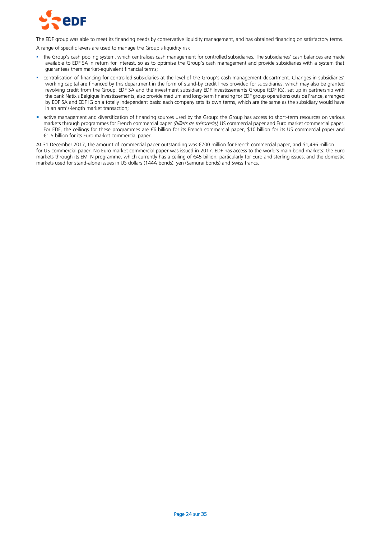

The EDF group was able to meet its financing needs by conservative liquidity management, and has obtained financing on satisfactory terms.

A range of specific levers are used to manage the Group's liquidity risk

- the Group's cash pooling system, which centralises cash management for controlled subsidiaries. The subsidiaries' cash balances are made available to EDF SA in return for interest, so as to optimise the Group's cash management and provide subsidiaries with a system that guarantees them market-equivalent financial terms;
- centralisation of financing for controlled subsidiaries at the level of the Group's cash management department. Changes in subsidiaries' working capital are financed by this department in the form of stand-by credit lines provided for subsidiaries, which may also be granted revolving credit from the Group. EDF SA and the investment subsidiary EDF Investissements Groupe (EDF IG), set up in partnership with the bank Natixis Belgique Investissements, also provide medium and long-term financing for EDF group operations outside France, arranged by EDF SA and EDF IG on a totally independent basis: each company sets its own terms, which are the same as the subsidiary would have in an arm's-length market transaction;
- active management and diversification of financing sources used by the Group: the Group has access to short-term resources on various markets through programmes for French commercial paper (billets de trésorerie), US commercial paper and Euro market commercial paper. For EDF, the ceilings for these programmes are €6 billion for its French commercial paper, \$10 billion for its US commercial paper and €1.5 billion for its Euro market commercial paper.

At 31 December 2017, the amount of commercial paper outstanding was €700 million for French commercial paper, and \$1,496 million for US commercial paper. No Euro market commercial paper was issued in 2017. EDF has access to the world's main bond markets: the Euro markets through its EMTN programme, which currently has a ceiling of €45 billion, particularly for Euro and sterling issues; and the domestic markets used for stand-alone issues in US dollars (144A bonds), yen (Samurai bonds) and Swiss francs.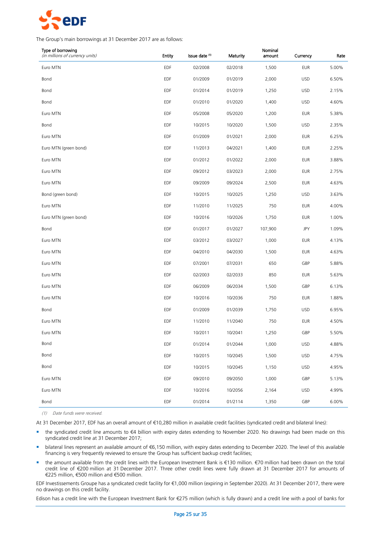

The Group's main borrowings at 31 December 2017 are as follows:

| Type of borrowing<br>(in millions of currency units) | <b>Entity</b> | Issue date (1) | Maturity | Nominal<br>amount | Currency   | Rate  |
|------------------------------------------------------|---------------|----------------|----------|-------------------|------------|-------|
| Euro MTN                                             | EDF           | 02/2008        | 02/2018  | 1,500             | <b>EUR</b> | 5.00% |
| Bond                                                 | <b>EDF</b>    | 01/2009        | 01/2019  | 2,000             | <b>USD</b> | 6.50% |
| Bond                                                 | EDF           | 01/2014        | 01/2019  | 1,250             | <b>USD</b> | 2.15% |
| Bond                                                 | <b>EDF</b>    | 01/2010        | 01/2020  | 1,400             | <b>USD</b> | 4.60% |
| Euro MTN                                             | <b>EDF</b>    | 05/2008        | 05/2020  | 1,200             | <b>EUR</b> | 5.38% |
| Bond                                                 | EDF           | 10/2015        | 10/2020  | 1,500             | <b>USD</b> | 2.35% |
| Euro MTN                                             | <b>EDF</b>    | 01/2009        | 01/2021  | 2,000             | <b>EUR</b> | 6.25% |
| Euro MTN (green bond)                                | EDF           | 11/2013        | 04/2021  | 1,400             | <b>EUR</b> | 2.25% |
| Euro MTN                                             | <b>EDF</b>    | 01/2012        | 01/2022  | 2,000             | <b>EUR</b> | 3.88% |
| Euro MTN                                             | <b>EDF</b>    | 09/2012        | 03/2023  | 2,000             | <b>EUR</b> | 2.75% |
| Euro MTN                                             | EDF           | 09/2009        | 09/2024  | 2,500             | <b>EUR</b> | 4.63% |
| Bond (green bond)                                    | <b>EDF</b>    | 10/2015        | 10/2025  | 1,250             | <b>USD</b> | 3.63% |
| Euro MTN                                             | EDF           | 11/2010        | 11/2025  | 750               | <b>EUR</b> | 4.00% |
| Euro MTN (green bond)                                | <b>EDF</b>    | 10/2016        | 10/2026  | 1,750             | <b>EUR</b> | 1.00% |
| Bond                                                 | EDF           | 01/2017        | 01/2027  | 107,900           | JPY        | 1.09% |
| Euro MTN                                             | EDF           | 03/2012        | 03/2027  | 1,000             | <b>EUR</b> | 4.13% |
| Euro MTN                                             | <b>EDF</b>    | 04/2010        | 04/2030  | 1,500             | <b>EUR</b> | 4.63% |
| Euro MTN                                             | EDF           | 07/2001        | 07/2031  | 650               | GBP        | 5.88% |
| Euro MTN                                             | EDF           | 02/2003        | 02/2033  | 850               | <b>EUR</b> | 5.63% |
| Euro MTN                                             | EDF           | 06/2009        | 06/2034  | 1,500             | GBP        | 6.13% |
| Euro MTN                                             | EDF           | 10/2016        | 10/2036  | 750               | <b>EUR</b> | 1.88% |
| Bond                                                 | EDF           | 01/2009        | 01/2039  | 1,750             | <b>USD</b> | 6.95% |
| Euro MTN                                             | EDF           | 11/2010        | 11/2040  | 750               | <b>EUR</b> | 4.50% |
| Euro MTN                                             | EDF           | 10/2011        | 10/2041  | 1,250             | GBP        | 5.50% |
| Bond                                                 | EDF           | 01/2014        | 01/2044  | 1,000             | <b>USD</b> | 4.88% |
| Bond                                                 | EDF           | 10/2015        | 10/2045  | 1,500             | <b>USD</b> | 4.75% |
| Bond                                                 | EDF           | 10/2015        | 10/2045  | 1,150             | <b>USD</b> | 4.95% |
| Euro MTN                                             | EDF           | 09/2010        | 09/2050  | 1,000             | GBP        | 5.13% |
| Euro MTN                                             | EDF           | 10/2016        | 10/2056  | 2,164             | <b>USD</b> | 4.99% |
| Bond                                                 | EDF           | 01/2014        | 01/2114  | 1,350             | GBP        | 6.00% |

(1) Date funds were received.

At 31 December 2017, EDF has an overall amount of €10,280 million in available credit facilities (syndicated credit and bilateral lines):

- the syndicated credit line amounts to €4 billion with expiry dates extending to November 2020. No drawings had been made on this syndicated credit line at 31 December 2017;
- bilateral lines represent an available amount of €6,150 million, with expiry dates extending to December 2020. The level of this available financing is very frequently reviewed to ensure the Group has sufficient backup credit facilities;
- the amount available from the credit lines with the European Investment Bank is €130 million. €70 million had been drawn on the total credit line of €200 million at 31 December 2017. Three other credit lines were fully drawn at 31 December 2017 for amounts of €225 million, €500 million and €500 million.

EDF Investissements Groupe has a syndicated credit facility for €1,000 million (expiring in September 2020). At 31 December 2017, there were no drawings on this credit facility.

Edison has a credit line with the European Investment Bank for €275 million (which is fully drawn) and a credit line with a pool of banks for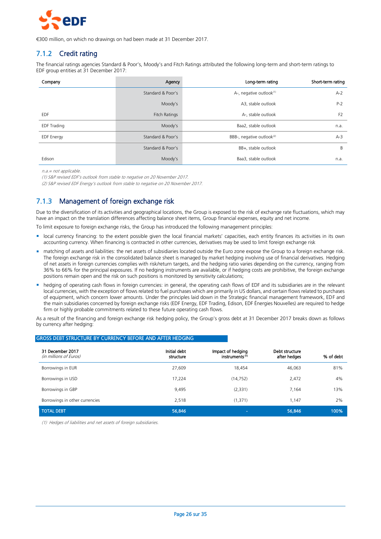

€300 million, on which no drawings on had been made at 31 December 2017.

# 7.1.2 Credit rating

The financial ratings agencies Standard & Poor's, Moody's and Fitch Ratings attributed the following long-term and short-term ratings to EDF group entities at 31 December 2017:

| Company            | Agency            | Long-term rating                      | Short-term rating |
|--------------------|-------------------|---------------------------------------|-------------------|
|                    | Standard & Poor's | A-, negative outlook(1)               | $A-2$             |
|                    | Moody's           | A3, stable outlook                    | $P-2$             |
| <b>EDF</b>         | Fitch Ratings     | A-, stable outlook                    | F <sub>2</sub>    |
| <b>EDF Trading</b> | Moody's           | Baa2, stable outlook                  | n.a.              |
| <b>EDF</b> Energy  | Standard & Poor's | BBB-, negative outlook <sup>(2)</sup> | $A-3$             |
|                    | Standard & Poor's | BB+, stable outlook                   | B                 |
| Edison             | Moody's           | Baa3, stable outlook                  | n.a.              |

n.a.= not applicable.

(1) S&P revised EDF's outlook from stable to negative on 20 November 2017.

(2) S&P revised EDF Energy's outlook from stable to negative on 20 November 2017.

# 7.1.3 Management of foreign exchange risk

Due to the diversification of its activities and geographical locations, the Group is exposed to the risk of exchange rate fluctuations, which may have an impact on the translation differences affecting balance sheet items, Group financial expenses, equity and net income.

To limit exposure to foreign exchange risks, the Group has introduced the following management principles:

- local currency financing: to the extent possible given the local financial markets' capacities, each entity finances its activities in its own accounting currency. When financing is contracted in other currencies, derivatives may be used to limit foreign exchange risk
- matching of assets and liabilities: the net assets of subsidiaries located outside the Euro zone expose the Group to a foreign exchange risk. The foreign exchange risk in the consolidated balance sheet is managed by market hedging involving use of financial derivatives. Hedging of net assets in foreign currencies complies with risk/return targets, and the hedging ratio varies depending on the currency, ranging from 36% to 66% for the principal exposures. If no hedging instruments are available, or if hedging costs are prohibitive, the foreign exchange positions remain open and the risk on such positions is monitored by sensitivity calculations;
- hedging of operating cash flows in foreign currencies: in general, the operating cash flows of EDF and its subsidiaries are in the relevant local currencies, with the exception of flows related to fuel purchases which are primarily in US dollars, and certain flows related to purchases of equipment, which concern lower amounts. Under the principles laid down in the Strategic financial management framework, EDF and the main subsidiaries concerned by foreign exchange risks (EDF Energy, EDF Trading, Edison, EDF Énergies Nouvelles) are required to hedge firm or highly probable commitments related to these future operating cash flows.

As a result of the financing and foreign exchange risk hedging policy, the Group's gross debt at 31 December 2017 breaks down as follows by currency after hedging:

| 31 December 2017<br>(in millions of Euros) | Initial debt<br>structure | Impact of hedging<br>instruments <sup>(1)</sup> | Debt structure<br>after hedges | % of debt |
|--------------------------------------------|---------------------------|-------------------------------------------------|--------------------------------|-----------|
| Borrowings in EUR                          | 27,609                    | 18,454                                          | 46,063                         | 81%       |
| Borrowings in USD                          | 17.224                    | (14, 752)                                       | 2,472                          | 4%        |
| Borrowings in GBP                          | 9,495                     | (2, 331)                                        | 7,164                          | 13%       |
| Borrowings in other currencies             | 2,518                     | (1, 371)                                        | 1,147                          | 2%        |
| <b>TOTAL DEBT</b>                          | 56,846                    | $\sim$                                          | 56,846                         | 100%      |

GROSS DEBT STRUCTURE BY CURRENCY BEFORE AND AFTER HEDGING

(1) Hedges of liabilities and net assets of foreign subsidiaries.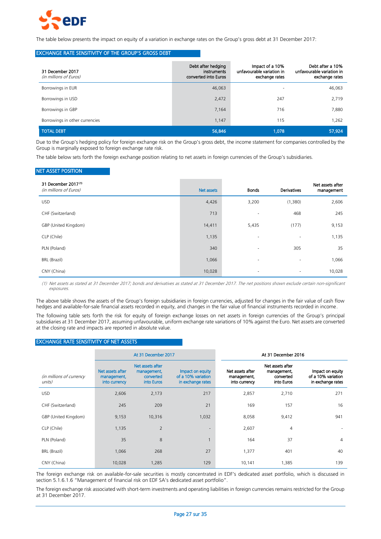

The table below presents the impact on equity of a variation in exchange rates on the Group's gross debt at 31 December 2017:

#### EXCHANGE RATE SENSITIVITY OF THE GROUP'S GROSS DEBT

| 31 December 2017<br>(in millions of Euros) | Debt after hedging<br>instruments<br>converted into Euros | Impact of a 10%<br>unfavourable variation in<br>exchange rates | Debt after a 10%<br>unfavourable variation in<br>exchange rates |
|--------------------------------------------|-----------------------------------------------------------|----------------------------------------------------------------|-----------------------------------------------------------------|
| Borrowings in EUR                          | 46,063                                                    |                                                                | 46,063                                                          |
| Borrowings in USD                          | 2,472                                                     | 247                                                            | 2,719                                                           |
| Borrowings in GBP                          | 7,164                                                     | 716                                                            | 7,880                                                           |
| Borrowings in other currencies             | 1,147                                                     | 115                                                            | 1,262                                                           |
| <b>TOTAL DEBT</b>                          | 56,846                                                    | 1,078                                                          | 57,924                                                          |

Due to the Group's hedging policy for foreign exchange risk on the Group's gross debt, the income statement for companies controlled by the Group is marginally exposed to foreign exchange rate risk.

The table below sets forth the foreign exchange position relating to net assets in foreign currencies of the Group's subsidiaries.

#### NET ASSET POSITION

| 31 December 2017(1)<br>(in millions of Euros) | Net assets | <b>Bonds</b> | Derivatives              | Net assets after<br>management |
|-----------------------------------------------|------------|--------------|--------------------------|--------------------------------|
| <b>USD</b>                                    | 4,426      | 3,200        | (1,380)                  | 2,606                          |
| CHF (Switzerland)                             | 713        | ٠            | 468                      | 245                            |
| GBP (United Kingdom)                          | 14,411     | 5,435        | (177)                    | 9,153                          |
| CLP (Chile)                                   | 1,135      | ٠            | ٠                        | 1,135                          |
| PLN (Poland)                                  | 340        | ٠            | 305                      | 35                             |
| <b>BRL</b> (Brazil)                           | 1,066      | ٠            | $\overline{\phantom{a}}$ | 1,066                          |
| CNY (China)                                   | 10,028     | ٠            | ۰                        | 10,028                         |

(1) Net assets as stated at 31 December 2017; bonds and derivatives as stated at 31 December 2017. The net positions shown exclude certain non-significant exposures.

The above table shows the assets of the Group's foreign subsidiaries in foreign currencies, adjusted for changes in the fair value of cash flow hedges and available-for-sale financial assets recorded in equity, and changes in the fair value of financial instruments recorded in income.

The following table sets forth the risk for equity of foreign exchange losses on net assets in foreign currencies of the Group's principal subsidiaries at 31 December 2017, assuming unfavourable, uniform exchange rate variations of 10% against the Euro. Net assets are converted at the closing rate and impacts are reported in absolute value.

#### EXCHANGE RATE SENSITIVITY OF NET ASSETS

|                                    | At 31 December 2017                              |                                                            |                                                             | At 31 December 2016                              |                                                            |                                                             |  |
|------------------------------------|--------------------------------------------------|------------------------------------------------------------|-------------------------------------------------------------|--------------------------------------------------|------------------------------------------------------------|-------------------------------------------------------------|--|
| (in millions of currency<br>units) | Net assets after<br>management,<br>into currency | Net assets after<br>management,<br>converted<br>into Euros | Impact on equity<br>of a 10% variation<br>in exchange rates | Net assets after<br>management,<br>into currency | Net assets after<br>management,<br>converted<br>into Euros | Impact on equity<br>of a 10% variation<br>in exchange rates |  |
| <b>USD</b>                         | 2,606                                            | 2,173                                                      | 217                                                         | 2,857                                            | 2,710                                                      | 271                                                         |  |
| CHF (Switzerland)                  | 245                                              | 209                                                        | 21                                                          | 169                                              | 157                                                        | 16                                                          |  |
| GBP (United Kingdom)               | 9,153                                            | 10,316                                                     | 1,032                                                       | 8,058                                            | 9,412                                                      | 941                                                         |  |
| CLP (Chile)                        | 1,135                                            | 2                                                          |                                                             | 2,607                                            | 4                                                          |                                                             |  |
| PLN (Poland)                       | 35                                               | 8                                                          |                                                             | 164                                              | 37                                                         | 4                                                           |  |
| BRL (Brazil)                       | 1,066                                            | 268                                                        | 27                                                          | 1,377                                            | 401                                                        | 40                                                          |  |
| CNY (China)                        | 10,028                                           | 1,285                                                      | 129                                                         | 10,141                                           | 1,385                                                      | 139                                                         |  |

The foreign exchange risk on available-for-sale securities is mostly concentrated in EDF's dedicated asset portfolio, which is discussed in section 5.1.6.1.6 "Management of financial risk on EDF SA's dedicated asset portfolio".

The foreign exchange risk associated with short-term investments and operating liabilities in foreign currencies remains restricted for the Group at 31 December 2017.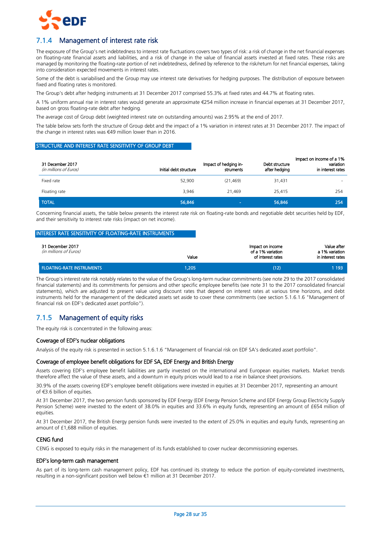

# 7.1.4 Management of interest rate risk

The exposure of the Group's net indebtedness to interest rate fluctuations covers two types of risk: a risk of change in the net financial expenses on floating-rate financial assets and liabilities, and a risk of change in the value of financial assets invested at fixed rates. These risks are managed by monitoring the floating-rate portion of net indebtedness, defined by reference to the risk/return for net financial expenses, taking into consideration expected movements in interest rates.

Some of the debt is variabilised and the Group may use interest rate derivatives for hedging purposes. The distribution of exposure between fixed and floating rates is monitored.

The Group's debt after hedging instruments at 31 December 2017 comprised 55.3% at fixed rates and 44.7% at floating rates.

A 1% uniform annual rise in interest rates would generate an approximate €254 million increase in financial expenses at 31 December 2017, based on gross floating-rate debt after hedging.

The average cost of Group debt (weighted interest rate on outstanding amounts) was 2.95% at the end of 2017.

The table below sets forth the structure of Group debt and the impact of a 1% variation in interest rates at 31 December 2017. The impact of the change in interest rates was €49 million lower than in 2016.

#### STRUCTURE AND INTEREST RATE SENSITIVITY OF GROUP DEBT

| 31 December 2017<br>(in millions of Euros) | Initial debt structure | Impact of hedging in-<br>struments | Debt structure<br>after hedging | Impact on income of a 1%<br>variation<br>in interest rates |
|--------------------------------------------|------------------------|------------------------------------|---------------------------------|------------------------------------------------------------|
| Fixed rate                                 | 52,900                 | (21, 469)                          | 31,431                          |                                                            |
| Floating rate                              | 3.946                  | 21.469                             | 25.415                          | 254                                                        |
| <b>TOTAL</b>                               | 56,846                 | $\sim$                             | 56,846                          | 254                                                        |

Concerning financial assets, the table below presents the interest rate risk on floating-rate bonds and negotiable debt securities held by EDF, and their sensitivity to interest rate risks (impact on net income).

#### INTEREST RATE SENSITIVITY OF FLOATING-RATE INSTRUMENTS

| 31 December 2017<br>(in millions of Euros) | Value | Impact on income<br>of a 1% variation<br>of interest rates | Value after<br>a 1% variation<br>in interest rates |
|--------------------------------------------|-------|------------------------------------------------------------|----------------------------------------------------|
| <b>FLOATING-RATE INSTRUMENTS</b>           | 1.205 | (12)                                                       | 1 193                                              |

The Group's interest rate risk notably relates to the value of the Group's long-term nuclear commitments (see note 29 to the 2017 consolidated financial statements) and its commitments for pensions and other specific employee benefits (see note 31 to the 2017 consolidated financial statements), which are adjusted to present value using discount rates that depend on interest rates at various time horizons, and debt instruments held for the management of the dedicated assets set aside to cover these commitments (see section 5.1.6.1.6 "Management of financial risk on EDF's dedicated asset portfolio").

# 7.1.5 Management of equity risks

The equity risk is concentrated in the following areas:

#### Coverage of EDF's nuclear obligations

Analysis of the equity risk is presented in section 5.1.6.1.6 "Management of financial risk on EDF SA's dedicated asset portfolio".

#### Coverage of employee benefit obligations for EDF SA, EDF Energy and British Energy

Assets covering EDF's employee benefit liabilities are partly invested on the international and European equities markets. Market trends therefore affect the value of these assets, and a downturn in equity prices would lead to a rise in balance sheet provisions.

30.9% of the assets covering EDF's employee benefit obligations were invested in equities at 31 December 2017, representing an amount of €3.6 billion of equities.

At 31 December 2017, the two pension funds sponsored by EDF Energy (EDF Energy Pension Scheme and EDF Energy Group Electricity Supply Pension Scheme) were invested to the extent of 38.0% in equities and 33.6% in equity funds, representing an amount of £654 million of equities

At 31 December 2017, the British Energy pension funds were invested to the extent of 25.0% in equities and equity funds, representing an amount of £1,688 million of equities.

#### CENG fund

CENG is exposed to equity risks in the management of its funds established to cover nuclear decommissioning expenses.

#### EDF's long-term cash management

As part of its long-term cash management policy, EDF has continued its strategy to reduce the portion of equity-correlated investments, resulting in a non-significant position well below €1 million at 31 December 2017.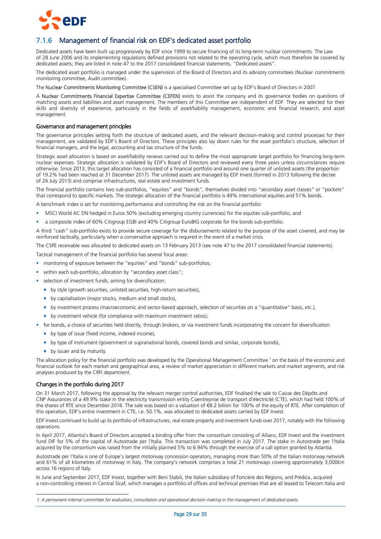

# 7.1.6 Management of financial risk on EDF's dedicated asset portfolio

Dedicated assets have been built up progressively by EDF since 1999 to secure financing of its long-term nuclear commitments. The Law of 28 June 2006 and its implementing regulations defined provisions not related to the operating cycle, which must therefore be covered by dedicated assets; they are listed in note 47 to the 2017 consolidated financial statements, "Dedicated assets".

The dedicated asset portfolio is managed under the supervision of the Board of Directors and its advisory committees (Nuclear commitments monitoring committee, Audit committee).

The Nuclear Commitments Monitoring Committee (CSEN) is a specialised Committee set up by EDF's Board of Directors in 2007.

A Nuclear Commitments Financial Expertise Committee (CEFEN) exists to assist the company and its governance bodies on questions of matching assets and liabilities and asset management. The members of this Committee are independent of EDF. They are selected for their skills and diversity of experience, particularly in the fields of asset/liability management, economic and financial research, and asset management.

#### Governance and management principles

The governance principles setting forth the structure of dedicated assets, and the relevant decision-making and control processes for their management, are validated by EDF's Board of Directors. These principles also lay down rules for the asset portfolio's structure, selection of financial managers, and the legal, accounting and tax structure of the funds.

Strategic asset allocation is based on asset/liability reviews carried out to define the most appropriate target portfolio for financing long-term nuclear expenses. Strategic allocation is validated by EDF's Board of Directors and reviewed every three years unless circumstances require otherwise. Since 2013, this target allocation has consisted of a financial portfolio and around one quarter of unlisted assets (the proportion of 19.2% had been reached at 31 December 2017). The unlisted assets are managed by EDF Invest (formed in 2013 following the decree of 24 July 2013) and comprise infrastructures, real estate and investment funds.

The financial portfolio contains two sub-portfolios, "equities" and "bonds", themselves divided into "secondary asset classes" or "pockets" that correspond to specific markets. The strategic allocation of the financial portfolio is 49% international equities and 51% bonds.

A benchmark index is set for monitoring performance and controlling the risk on the financial portfolio:

- MSCI World AC DN hedged in Euros 50% (excluding emerging country currencies) for the equities sub-portfolio, and
- a composite index of 60% Citigroup EGBI and 40% Citigroup EuroBIG corporate for the bonds sub-portfolio.

A third "cash" sub-portfolio exists to provide secure coverage for the disbursements related to the purpose of the asset covered, and may be reinforced tactically, particularly when a conservative approach is required in the event of a market crisis.

The CSPE receivable was allocated to dedicated assets on 13 February 2013 (see note 47 to the 2017 consolidated financial statements).

Tactical management of the financial portfolio has several focal areas:

- monitoring of exposure between the "equities" and "bonds" sub-portfolios;
- within each sub-portfolio, allocation by "secondary asset class";
- selection of investment funds, aiming for diversification:
	- by style (growth securities, unlisted securities, high-return securities),
	- by capitalisation (major stocks, medium and small stocks),
	- by investment process (macroeconomic and sector-based approach, selection of securities on a "quantitative" basis, etc.),
	- by investment vehicle (for compliance with maximum investment ratios);
- for bonds, a choice of securities held directly, through brokers, or via investment funds incorporating the concern for diversification:
- ◆ by type of issue (fixed income, indexed income),
- by type of instrument (government or supranational bonds, covered bonds and similar, corporate bonds),
- by issuer and by maturity.

The allocation policy for the financial portfolio was developed by the Operational Management Committee<sup>1</sup> on the basis of the economic and financial outlook for each market and geographical area, a review of market appreciation in different markets and market segments, and risk analyses produced by the CRFI department.

#### Changes in the portfolio during 2017

-

On 31 March 2017, following the approval by the relevant merger control authorities, EDF finalised the sale to Caisse des Dépôts and CNP Assurances of a 49.9% stake in the electricity transmission entity Coentreprise de transport d'électricité (CTE), which had held 100% of the shares of RTE since December 2016. The sale was based on a valuation of €8.2 billion for 100% of the equity of RTE. After completion of this operation, EDF's entire investment in CTE, i.e. 50.1%, was allocated to dedicated assets carried by EDF Invest.

EDF Invest continued to build up its portfolio of infrastructures, real estate property and investment funds over 2017, notably with the following operations.

In April 2017, Atlantia's Board of Directors accepted a binding offer from the consortium consisting of Allianz, EDF Invest and the investment fund DIF for 5% of the capital of Autostrade per l'Italia. This transaction was completed in July 2017. The stake in Autostrade per l'Italia acquired by the consortium was raised from the initially planned 5% to 6.94% through the exercise of a call option granted by Atlantia.

Autostrade per l'Italia is one of Europe's largest motorway concession operators, managing more than 50% of the Italian motorway network and 61% of all kilometres of motorway in Italy. The company's network comprises a total 21 motorways covering approximately 3,000km across 16 regions of Italy.

In June and September 2017, EDF Invest, together with Beni Stabili, the Italian subsidiary of Foncière des Régions, and Predica, acquired a non-controlling interest in Central Sicaf, which manages a portfolio of offices and technical premises that are all leased to Telecom Italia and

<sup>1.</sup> A permanent internal committee for evaluation, consultation and operational decision-making in the management of dedicated assets.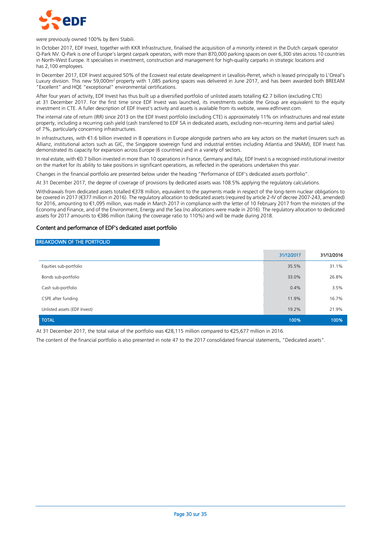

were previously owned 100% by Beni Stabili.

In October 2017, EDF Invest, together with KKR Infrastructure, finalised the acquisition of a minority interest in the Dutch carpark operator Q-Park NV. Q-Park is one of Europe's largest carpark operators, with more than 870,000 parking spaces on over 6,300 sites across 10 countries in North-West Europe. It specialises in investment, construction and management for high-quality carparks in strategic locations and has 2,100 employees.

In December 2017, EDF Invest acquired 50% of the Ecowest real estate development in Levallois-Perret, which is leased principally to L'Oreal's Luxury division. This new 59,000m<sup>2</sup> property with 1,085 parking spaces was delivered in June 2017, and has been awarded both BREEAM "Excellent" and HQE "exceptional" environmental certifications.

After four years of activity, EDF Invest has thus built up a diversified portfolio of unlisted assets totalling €2.7 billion (excluding CTE) at 31 December 2017. For the first time since EDF Invest was launched, its investments outside the Group are equivalent to the equity investment in CTE. A fuller description of EDF Invest's activity and assets is available from its website[, www.edfinvest.com.](http://www.edfinvest.com/)

The internal rate of return (IRR) since 2013 on the EDF Invest portfolio (excluding CTE) is approximately 11% on infrastructures and real estate property, including a recurring cash yield (cash transferred to EDF SA in dedicated assets, excluding non-recurring items and partial sales) of 7%, particularly concerning infrastructures.

In infrastructures, with €1.6 billion invested in 8 operations in Europe alongside partners who are key actors on the market (insurers such as Allianz, institutional actors such as GIC, the Singapore sovereign fund and industrial entities including Atlantia and SNAM), EDF Invest has demonstrated its capacity for expansion across Europe (6 countries) and in a variety of sectors.

In real estate, with €0.7 billion invested in more than 10 operations in France, Germany and Italy, EDF Invest is a recognised institutional investor on the market for its ability to take positions in significant operations, as reflected in the operations undertaken this year.

Changes in the financial portfolio are presented below under the heading "Performance of EDF's dedicated assets portfolio".

At 31 December 2017, the degree of coverage of provisions by dedicated assets was 108.5% applying the regulatory calculations.

Withdrawals from dedicated assets totalled €378 million, equivalent to the payments made in respect of the long-term nuclear obligations to be covered in 2017 (€377 million in 2016). The regulatory allocation to dedicated assets (required by article 2-IV of decree 2007-243, amended) for 2016, amounting to €1,095 million, was made in March 2017 in compliance with the letter of 10 February 2017 from the ministers of the Economy and Finance, and of the Environment, Energy and the Sea (no allocations were made in 2016). The regulatory allocation to dedicated assets for 2017 amounts to €386 million (taking the coverage ratio to 110%) and will be made during 2018.

#### Content and performance of EDF's dedicated asset portfolio

#### BREAKDOWN OF THE PORTFOLIO

|                              | 31/12/2017 | 31/12/2016 |
|------------------------------|------------|------------|
| Equities sub-portfolio       | 35.5%      | 31.1%      |
| Bonds sub-portfolio          | 33.0%      | 26.8%      |
| Cash sub-portfolio           | 0.4%       | 3.5%       |
| CSPE after funding           | 11.9%      | 16.7%      |
| Unlisted assets (EDF Invest) | 19.2%      | 21.9%      |
| <b>TOTAL</b>                 | 100%       | 100%       |

At 31 December 2017, the total value of the portfolio was €28,115 million compared to €25,677 million in 2016.

The content of the financial portfolio is also presented in note 47 to the 2017 consolidated financial statements, "Dedicated assets".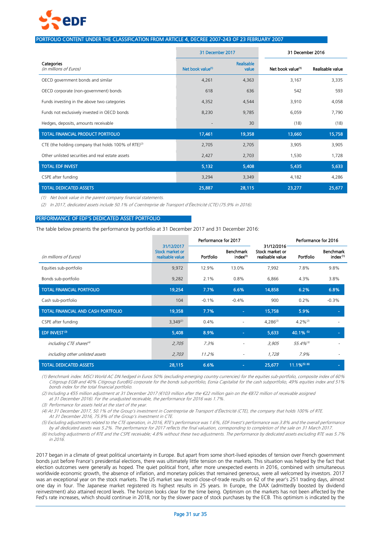

#### PORTFOLIO CONTENT UNDER THE CLASSIFICATION FROM ARTICLE 4, DECREE 2007-243 OF 23 FEBRUARY 2007

|                                                                 | 31 December 2017              |                     | 31 December 2016              |                  |
|-----------------------------------------------------------------|-------------------------------|---------------------|-------------------------------|------------------|
| Categories<br>(in millions of Euros)                            | Net book value <sup>(1)</sup> | Realisable<br>value | Net book value <sup>(1)</sup> | Realisable value |
| OECD government bonds and similar                               | 4,261                         | 4,363               | 3,167                         | 3,335            |
| OECD corporate (non-government) bonds                           | 618                           | 636                 | 542                           | 593              |
| Funds investing in the above two categories                     | 4,352                         | 4,544               | 3,910                         | 4,058            |
| Funds not exclusively invested in OECD bonds                    | 8,230                         | 9,785               | 6,059                         | 7,790            |
| Hedges, deposits, amounts receivable                            |                               | 30                  | (18)                          | (18)             |
| <b>TOTAL FINANCIAL PRODUCT PORTFOLIO</b>                        | 17,461                        | 19,358              | 13,660                        | 15,758           |
| CTE (the holding company that holds 100% of RTE) <sup>(2)</sup> | 2,705                         | 2,705               | 3,905                         | 3,905            |
| Other unlisted securities and real estate assets                | 2,427                         | 2,703               | 1,530                         | 1,728            |
| <b>TOTAL EDF INVEST</b>                                         | 5,132                         | 5,408               | 5,435                         | 5,633            |
| CSPE after funding                                              | 3,294                         | 3,349               | 4,182                         | 4,286            |
| <b>TOTAL DEDICATED ASSETS</b>                                   | 25,887                        | 28,115              | 23,277                        | 25,677           |

(1) Net book value in the parent company financial statements.

(2) In 2017, dedicated assets include 50.1% of Coentreprise de Transport d'Électricité (CTE) (75.9% in 2016).

#### PERFORMANCE OF EDF'S DEDICATED ASSET PORTFOLIO

The table below presents the performance by portfolio at 31 December 2017 and 31 December 2016:

|                                     |                                                   | Performance for 2017 |                                          |                                                   |                             | Performance for 2016                     |  |
|-------------------------------------|---------------------------------------------------|----------------------|------------------------------------------|---------------------------------------------------|-----------------------------|------------------------------------------|--|
| (in millions of Euros)              | 31/12/2017<br>Stock market or<br>realisable value | Portfolio            | <b>Benchmark</b><br>index <sup>(1)</sup> | 31/12/2016<br>Stock market or<br>realisable value | Portfolio                   | <b>Benchmark</b><br>index <sup>(1)</sup> |  |
| Equities sub-portfolio              | 9,972                                             | 12.9%                | 13.0%                                    | 7,992                                             | 7.8%                        | 9.8%                                     |  |
| Bonds sub-portfolio                 | 9,282                                             | 2.1%                 | 0.8%                                     | 6,866                                             | 4.3%                        | 3.8%                                     |  |
| <b>TOTAL FINANCIAL PORTFOLIO</b>    | 19,254                                            | 7.7%                 | 6.6%                                     | 14,858                                            | 6.2%                        | 6.8%                                     |  |
| Cash sub-portfolio                  | 104                                               | $-0.1%$              | $-0.4%$                                  | 900                                               | 0.2%                        | $-0.3%$                                  |  |
| TOTAL FINANCIAL AND CASH PORTFOLIO  | 19,358                                            | 7.7%                 | $\sim$                                   | 15,758                                            | 5.9%                        | $\overline{\phantom{a}}$                 |  |
| CSPE after funding                  | $3,349^{(2)}$                                     | 0.4%                 | $\overline{\phantom{0}}$                 | $4,286^{(2)}$                                     | $4.2\%^{(2)}$               |                                          |  |
| <b>EDF INVEST<sup>(3)</sup></b>     | 5,408                                             | 8.9%                 | $\sim$                                   | 5,633                                             | 40.1% (5)                   | $\sim$                                   |  |
| including CTE shares <sup>(4)</sup> | 2,705                                             | 7.3%                 | $\qquad \qquad \blacksquare$             | 3,905                                             | $55.4\%$ <sup>(5)</sup>     |                                          |  |
| including other unlisted assets     | 2,703                                             | 11.2%                | ٠                                        | 1,728                                             | 7.9%                        | $\overline{\phantom{a}}$                 |  |
| <b>TOTAL DEDICATED ASSETS</b>       | 28,115                                            | 6.6%                 | ٠                                        | 25,677                                            | $11.1\%$ <sup>(5)</sup> (6) | $\sim$                                   |  |

(1) Benchmark index: MSCI World AC DN hedged in Euros 50% (excluding emerging country currencies) for the equities sub-portfolio, composite index of 60% Citigroup EGBI and 40% Citigroup EuroBIG corporate for the bonds sub-portfolio, Eonia Capitalisé for the cash subportfolio, 49% equities index and 51% bonds index for the total financial portfolio.

(2) Including a €55 million adjustment at 31 December 2017 (€103 million after the €22 million gain on the €872 million of receivable assigned at 31 December 2016). For the unadjusted receivable, the performance for 2016 was 1.7%.

(3) Performance for assets held at the start of the year.

(4) At 31 December 2017, 50.1% of the Group's investment in Coentreprise de Transport d'Électricité (CTE), the company that holds 100% of RTE. At 31 December 2016, 75.9% of the Group's investment in CTE.

(5) Excluding adjustments related to the CTE operation, in 2016, RTE's performance was 1.6%, EDF Invest's performance was 3.8% and the overall performance by all dedicated assets was 5.2%. The performance for 2017 reflects the final valuation, corresponding to completion of the sale on 31 March 2017.

(6) Including adjustments of RTE and the CSPE receivable; 4.8% without these two adjustments. The performance by dedicated assets excluding RTE was 5.7% in 2016.

2017 began in a climate of great political uncertainty in Europe. But apart from some short-lived episodes of tension over French government bonds just before France's presidential elections, there was ultimately little tension on the markets. This situation was helped by the fact that election outcomes were generally as hoped. The quiet political front, after more unexpected events in 2016, combined with simultaneous worldwide economic growth, the absence of inflation, and monetary policies that remained generous, were all welcomed by investors. 2017 was an exceptional year on the stock markets. The US market saw record close-of-trade results on 62 of the year's 251 trading days, almost one day in four. The Japanese market registered its highest results in 25 years. In Europe, the DAX (admittedly boosted by dividend reinvestment) also attained record levels. The horizon looks clear for the time being. Optimism on the markets has not been affected by the Fed's rate increases, which should continue in 2018, nor by the slower pace of stock purchases by the ECB. This optimism is indicated by the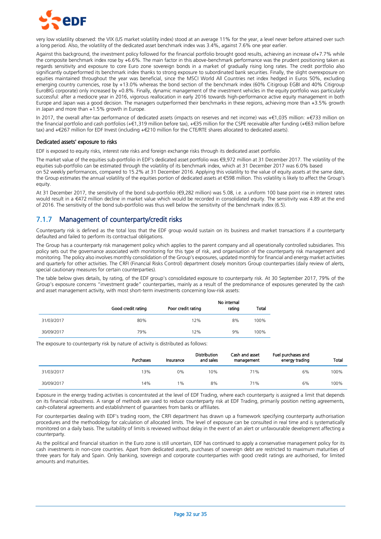

very low volatility observed: the VIX (US market volatility index) stood at an average 11% for the year, a level never before attained over such a long period. Also, the volatility of the dedicated asset benchmark index was 3.4%, against 7.6% one year earlier.

Against this background, the investment policy followed for the financial portfolio brought good results, achieving an increase of+7.7% while the composite benchmark index rose by +6.6%. The main factor in this above-benchmark performance was the prudent positioning taken as regards sensitivity and exposure to core Euro zone sovereign bonds in a market of gradually rising long rates. The credit portfolio also significantly outperformed its benchmark index thanks to strong exposure to subordinated bank securities. Finally, the slight overexposure on equities maintained throughout the year was beneficial, since the MSCI World All Countries net index hedged in Euros 50%, excluding emerging country currencies, rose by +13.0% whereas the bond section of the benchmark index (60% Citigroup EGBI and 40% Citigroup EuroBIG corporate) only increased by +0.8%. Finally, dynamic management of the investment vehicles in the equity portfolio was particularly successful: after a mediocre year in 2016, vigorous reallocation in early 2016 towards high-performance active equity management in both Europe and Japan was a good decision. The managers outperformed their benchmarks in these regions, achieving more than +3.5% growth in Japan and more than +1.5% growth in Europe.

In 2017, the overall after-tax performance of dedicated assets (impacts on reserves and net income) was +€1,035 million: +€733 million on the financial portfolio and cash portfolios (+€1,319 million before tax), +€35 million for the CSPE receivable after funding (+€63 million before tax) and +€267 million for EDF Invest (including +€210 million for the CTE/RTE shares allocated to dedicated assets).

#### Dedicated assets' exposure to risks

EDF is exposed to equity risks, interest rate risks and foreign exchange risks through its dedicated asset portfolio.

The market value of the equities sub-portfolio in EDF's dedicated asset portfolio was €9,972 million at 31 December 2017. The volatility of the equities sub-portfolio can be estimated through the volatility of its benchmark index, which at 31 December 2017 was 6.0% based on 52 weekly performances, compared to 15.2% at 31 December 2016. Applying this volatility to the value of equity assets at the same date, the Group estimates the annual volatility of the equities portion of dedicated assets at €598 million. This volatility is likely to affect the Group's equity.

At 31 December 2017, the sensitivity of the bond sub-portfolio (€9,282 million) was 5.08, i.e. a uniform 100 base point rise in interest rates would result in a €472 million decline in market value which would be recorded in consolidated equity. The sensitivity was 4.89 at the end of 2016. The sensitivity of the bond sub-portfolio was thus well below the sensitivity of the benchmark index (6.5).

# 7.1.7 Management of counterparty/credit risks

Counterparty risk is defined as the total loss that the EDF group would sustain on its business and market transactions if a counterparty defaulted and failed to perform its contractual obligations.

The Group has a counterparty risk management policy which applies to the parent company and all operationally controlled subsidiaries. This policy sets out the governance associated with monitoring for this type of risk, and organisation of the counterparty risk management and monitoring. The policy also involves monthly consolidation of the Group's exposures, updated monthly for financial and energy market activities and quarterly for other activities. The CRFI (Financial Risks Control) department closely monitors Group counterparties (daily review of alerts, special cautionary measures for certain counterparties).

The table below gives details, by rating, of the EDF group's consolidated exposure to counterparty risk. At 30 September 2017, 79% of the Group's exposure concerns "investment grade" counterparties, mainly as a result of the predominance of exposures generated by the cash and asset management activity, with most short-term investments concerning low-risk assets:

|            | Good credit rating | Poor credit rating | No internal<br>rating | Total |
|------------|--------------------|--------------------|-----------------------|-------|
| 31/03/2017 | 80%                | 12%                | 8%                    | 100%  |
| 30/09/2017 | 79%                | 12%                | 9%                    | 100%  |

The exposure to counterparty risk by nature of activity is distributed as follows:

|            | Purchases | Insurance | <b>Distribution</b><br>and sales | Cash and asset<br>management | Fuel purchases and<br>energy trading | Total |
|------------|-----------|-----------|----------------------------------|------------------------------|--------------------------------------|-------|
| 31/03/2017 | 13%       | 0%        | 10%                              | 71%                          | 6%                                   | 100%  |
| 30/09/2017 | 14%       | 1%        | 8%                               | 71%                          | 6%                                   | 100%  |

Exposure in the energy trading activities is concentrated at the level of EDF Trading, where each counterparty is assigned a limit that depends on its financial robustness. A range of methods are used to reduce counterparty risk at EDF Trading, primarily position netting agreements, cash-collateral agreements and establishment of guarantees from banks or affiliates.

For counterparties dealing with EDF's trading room, the CRFI department has drawn up a framework specifying counterparty authorisation procedures and the methodology for calculation of allocated limits. The level of exposure can be consulted in real time and is systematically monitored on a daily basis. The suitability of limits is reviewed without delay in the event of an alert or unfavourable development affecting a counterparty.

As the political and financial situation in the Euro zone is still uncertain, EDF has continued to apply a conservative management policy for its cash investments in non-core countries. Apart from dedicated assets, purchases of sovereign debt are restricted to maximum maturities of three years for Italy and Spain. Only banking, sovereign and corporate counterparties with good credit ratings are authorised, for limited amounts and maturities.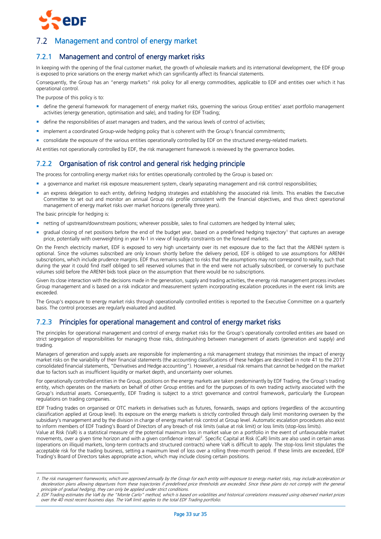

# <span id="page-32-0"></span>Management and control of energy market

# 7.2.1 Management and control of energy market risks

In keeping with the opening of the final customer market, the growth of wholesale markets and its international development, the EDF group is exposed to price variations on the energy market which can significantly affect its financial statements.

Consequently, the Group has an "energy markets" risk policy for all energy commodities, applicable to EDF and entities over which it has operational control.

The purpose of this policy is to:

- define the general framework for management of energy market risks, governing the various Group entities' asset portfolio management activities (energy generation, optimisation and sale), and trading for EDF Trading;
- define the responsibilities of asset managers and traders, and the various levels of control of activities;
- **In** implement a coordinated Group-wide hedging policy that is coherent with the Group's financial commitments;
- consolidate the exposure of the various entities operationally controlled by EDF on the structured energy-related markets.

At entities not operationally controlled by EDF, the risk management framework is reviewed by the governance bodies.

# 7.2.2 Organisation of risk control and general risk hedging principle

The process for controlling energy market risks for entities operationally controlled by the Group is based on:

- a governance and market risk exposure measurement system, clearly separating management and risk control responsibilities;
- an express delegation to each entity, defining hedging strategies and establishing the associated risk limits. This enables the Executive Committee to set out and monitor an annual Group risk profile consistent with the financial objectives, and thus direct operational management of energy market risks over market horizons (generally three years).

The basic principle for hedging is:

 $\overline{a}$ 

- netting of upstream/downstream positions; wherever possible, sales to final customers are hedged by Internal sales;
- " gradual closing of net positions before the end of the budget year, based on a predefined hedging trajectory<sup>1</sup> that captures an average price, potentially with overweighting in year N-1 in view of liquidity constraints on the forward markets.

On the French electricity market, EDF is exposed to very high uncertainty over its net exposure due to the fact that the ARENH system is optional. Since the volumes subscribed are only known shortly before the delivery period, EDF is obliged to use assumptions for ARENH subscriptions, which include prudence margins. EDF thus remains subject to risks that the assumptions may not correspond to reality, such that during the year it could find itself obliged to sell reserved volumes that in the end were not actually subscribed, or conversely to purchase volumes sold before the ARENH bids took place on the assumption that there would be no subscriptions.

Given its close interaction with the decisions made in the generation, supply and trading activities, the energy risk management process involves Group management and is based on a risk indicator and measurement system incorporating escalation procedures in the event risk limits are exceeded.

The Group's exposure to energy market risks through operationally controlled entities is reported to the Executive Committee on a quarterly basis. The control processes are regularly evaluated and audited.

# 7.2.3 Principles for operational management and control of energy market risks

The principles for operational management and control of energy market risks for the Group's operationally controlled entities are based on strict segregation of responsibilities for managing those risks, distinguishing between management of assets (generation and supply) and trading.

Managers of generation and supply assets are responsible for implementing a risk management strategy that minimises the impact of energy market risks on the variability of their financial statements (the accounting classifications of these hedges are described in note 41 to the 2017 consolidated financial statements, "Derivatives and Hedge accounting"). However, a residual risk remains that cannot be hedged on the market due to factors such as insufficient liquidity or market depth, and uncertainty over volumes.

For operationally controlled entities in the Group, positions on the energy markets are taken predominantly by EDF Trading, the Group's trading entity, which operates on the markets on behalf of other Group entities and for the purposes of its own trading activity associated with the Group's industrial assets. Consequently, EDF Trading is subject to a strict governance and control framework, particularly the European regulations on trading companies.

EDF Trading trades on organised or OTC markets in derivatives such as futures, forwards, swaps and options (regardless of the accounting classification applied at Group level). Its exposure on the energy markets is strictly controlled through daily limit monitoring overseen by the subsidiary's management and by the division in charge of energy market risk control at Group level. Automatic escalation procedures also exist to inform members of EDF Trading's Board of Directors of any breach of risk limits (value at risk limit) or loss limits (stop-loss limits).

Value at Risk (VaR) is a statistical measure of the potential maximum loss in market value on a portfolio in the event of unfavourable market movements, over a given time horizon and with a given confidence interval<sup>2</sup>. Specific Capital at Risk (CaR) limits are also used in certain areas (operations on illiquid markets, long-term contracts and structured contracts) where VaR is difficult to apply. The stop-loss limit stipulates the acceptable risk for the trading business, setting a maximum level of loss over a rolling three-month period. If these limits are exceeded, EDF Trading's Board of Directors takes appropriate action, which may include closing certain positions.

<sup>1.</sup> The risk management frameworks, which are approved annually by the Group for each entity with exposure to energy market risks, may include acceleration or deceleration plans allowing departures from these trajectories if predefined price thresholds are exceeded. Since these plans do not comply with the general principle of gradual hedging, they can only be applied under strict conditions.

<sup>2</sup>. EDF Trading estimates the VaR by the "Monte Carlo" method, which is based on volatilities and historical correlations measured using observed market prices over the 40 most recent business days. The VaR limit applies to the total EDF Trading portfolio.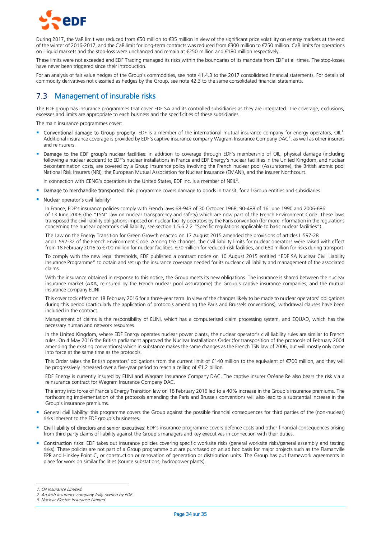

During 2017, the VaR limit was reduced from €50 million to €35 million in view of the significant price volatility on energy markets at the end of the winter of 2016-2017, and the CaR limit for long-term contracts was reduced from €300 million to €250 million. CaR limits for operations on illiquid markets and the stop-loss were unchanged and remain at €250 million and €180 million respectively.

These limits were not exceeded and EDF Trading managed its risks within the boundaries of its mandate from EDF at all times. The stop-losses have never been triggered since their introduction.

For an analysis of fair value hedges of the Group's commodities, see note 41.4.3 to the 2017 consolidated financial statements. For details of commodity derivatives not classified as hedges by the Group, see note 42.3 to the same consolidated financial statements.

# <span id="page-33-0"></span>7.3 Management of insurable risks

The EDF group has insurance programmes that cover EDF SA and its controlled subsidiaries as they are integrated. The coverage, exclusions, excesses and limits are appropriate to each business and the specificities of these subsidiaries.

The main insurance programmes cover:

- **Conventional damage to Group property**: EDF is a member of the international mutual insurance company for energy operators, OIL<sup>1</sup>. Additional insurance coverage is provided by EDF's captive insurance company Wagram Insurance Company DAC<sup>2</sup>, as well as other insurers and reinsurers.
- Damage to the EDF group's nuclear facilities: in addition to coverage through EDF's membership of OIL, physical damage (including following a nuclear accident) to EDF's nuclear installations in France and EDF Energy's nuclear facilities in the United Kingdom, and nuclear decontamination costs, are covered by a Group insurance policy involving the French nuclear pool (Assuratome), the British atomic pool National Risk Insurers (NRI), the European Mutual Association for Nuclear Insurance (EMANI), and the insurer Northcourt.

In connection with CENG's operations in the United States, EDF Inc. is a member of NEIL<sup>3</sup>.

Damage to merchandise transported: this programme covers damage to goods in transit, for all Group entities and subsidiaries.

#### Nuclear operator's civil liability:

In France, EDF's insurance policies comply with French laws 68-943 of 30 October 1968, 90-488 of 16 June 1990 and 2006-686 of 13 June 2006 (the "TSN" law on nuclear transparency and safety) which are now part of the French Environment Code. These laws transposed the civil liability obligations imposed on nuclear facility operators by the Paris convention (for more information in the regulations concerning the nuclear operator's civil liability, see section 1.5.6.2.2 "Specific regulations applicable to basic nuclear facilities").

The Law on the Energy Transition for Green Growth enacted on 17 August 2015 amended the provisions of articles L.597-28 and L.597-32 of the French Environment Code. Among the changes, the civil liability limits for nuclear operators were raised with effect from 18 February 2016 to €700 million for nuclear facilities, €70 million for reduced-risk facilities, and €80 million for risks during transport.

To comply with the new legal thresholds, EDF published a contract notice on 10 August 2015 entitled "EDF SA Nuclear Civil Liability Insurance Programme" to obtain and set up the insurance coverage needed for its nuclear civil liability and management of the associated claims.

With the insurance obtained in response to this notice, the Group meets its new obligations. The insurance is shared between the nuclear insurance market (AXA, reinsured by the French nuclear pool Assuratome) the Group's captive insurance companies, and the mutual insurance company ELINI.

This cover took effect on 18 February 2016 for a three-year term. In view of the changes likely to be made to nuclear operators' obligations during this period (particularly the application of protocols amending the Paris and Brussels conventions), withdrawal clauses have been included in the contract.

Management of claims is the responsibility of ELINI, which has a computerised claim processing system, and EQUAD, which has the necessary human and network resources.

In the United Kingdom, where EDF Energy operates nuclear power plants, the nuclear operator's civil liability rules are similar to French rules. On 4 May 2016 the British parliament approved the Nuclear Installations Order (for transposition of the protocols of February 2004 amending the existing conventions) which in substance makes the same changes as the French TSN law of 2006, but will mostly only come into force at the same time as the protocols.

This Order raises the British operators' obligations from the current limit of £140 million to the equivalent of €700 million, and they will be progressively increased over a five-year period to reach a ceiling of €1.2 billion.

EDF Energy is currently insured by ELINI and Wagram Insurance Company DAC. The captive insurer Océane Re also bears the risk via a reinsurance contract for Wagram Insurance Company DAC.

The entry into force of France's Energy Transition law on 18 February 2016 led to a 40% increase in the Group's insurance premiums. The forthcoming implementation of the protocols amending the Paris and Brussels conventions will also lead to a substantial increase in the Group's insurance premiums.

- **General civil liability**: this programme covers the Group against the possible financial consequences for third parties of the (non-nuclear) risks inherent to the EDF group's businesses.
- Civil liability of directors and senior executives: EDF's insurance programme covers defence costs and other financial consequences arising from third party claims of liability against the Group's managers and key executives in connection with their duties.
- Construction risks: EDF takes out insurance policies covering specific worksite risks (general worksite risks/general assembly and testing risks). These policies are not part of a Group programme but are purchased on an ad hoc basis for major projects such as the Flamanville EPR and Hinkley Point C, or construction or renovation of generation or distribution units. The Group has put framework agreements in place for work on similar facilities (source substations, hydropower plants).

-

<sup>1.</sup> Oil Insurance Limited.

<sup>2.</sup> An Irish insurance company fully-owned by EDF.

<sup>3.</sup> Nuclear Electric Insurance Limited.